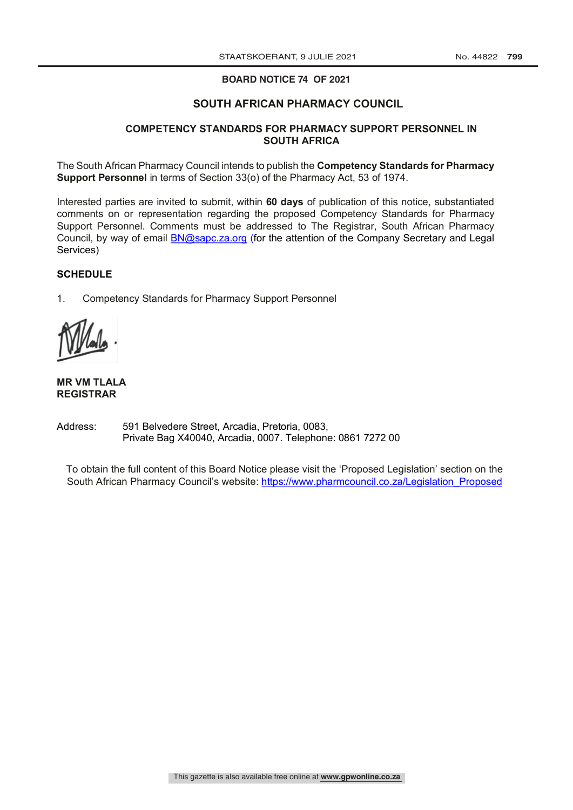#### **BOARD NOTICE 74 OF 2021**

#### **SOUTH AFRICAN PHARMACY COUNCIL**

#### **COMPETENCY STANDARDS FOR PHARMACY SUPPORT PERSONNEL IN SOUTH AFRICA**

The South African Pharmacy Council intends to publish the **Competency Standards for Pharmacy Support Personnel** in terms of Section 33(o) of the Pharmacy Act, 53 of 1974.

Interested parties are invited to submit, within **60 days** of publication of this notice, substantiated comments on or representation regarding the proposed Competency Standards for Pharmacy Support Personnel. Comments must be addressed to The Registrar, South African Pharmacy Council, by way of email BN@sapc.za.org (for the attention of the Company Secretary and Legal Services)

#### **SCHEDULE**

1. Competency Standards for Pharmacy Support Personnel

#### **MR VM TLALA REGISTRAR**

Address: 591 Belvedere Street, Arcadia, Pretoria, 0083, Private Bag X40040, Arcadia, 0007. Telephone: 0861 7272 00

To obtain the full content of this Board Notice please visit the 'Proposed Legislation' section on the South African Pharmacy Council's website: https://www.pharmcouncil.co.za/Legislation Proposed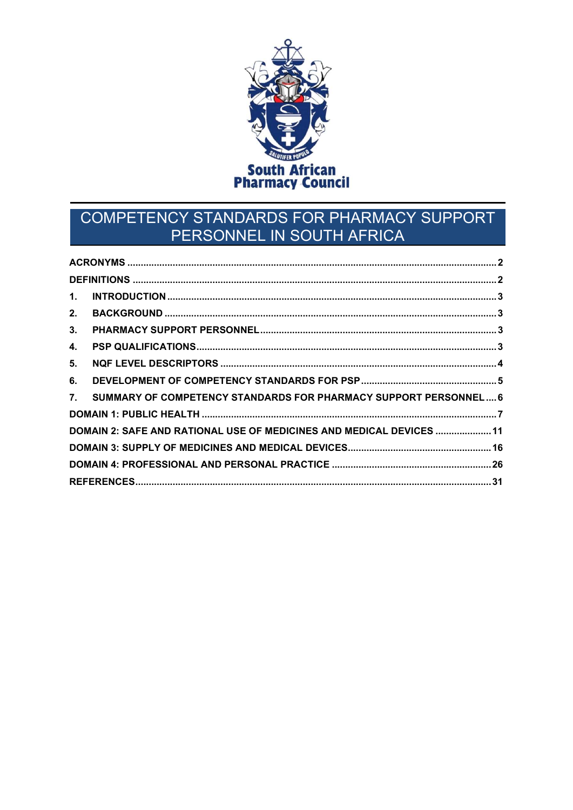

# COMPETENCY STANDARDS FOR PHARMACY SUPPORT PERSONNEL IN SOUTH AFRICA

| 1.                                                                     |  |
|------------------------------------------------------------------------|--|
| 2.                                                                     |  |
| 3.                                                                     |  |
| 4.                                                                     |  |
| 5.                                                                     |  |
| 6.                                                                     |  |
| SUMMARY OF COMPETENCY STANDARDS FOR PHARMACY SUPPORT PERSONNEL 6<br>7. |  |
|                                                                        |  |
| DOMAIN 2: SAFE AND RATIONAL USE OF MEDICINES AND MEDICAL DEVICES  11   |  |
|                                                                        |  |
|                                                                        |  |
|                                                                        |  |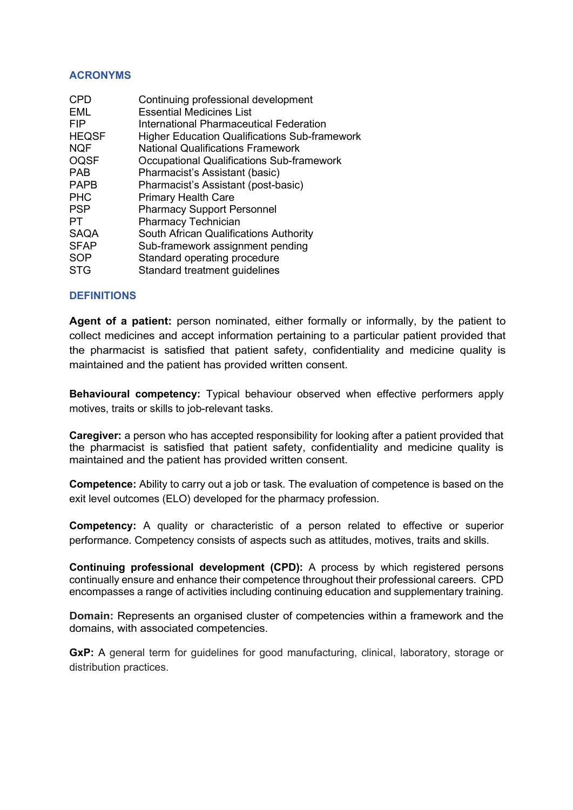#### ACRONYMS

| <b>CPD</b>   | Continuing professional development                  |
|--------------|------------------------------------------------------|
| EML          | <b>Essential Medicines List</b>                      |
| <b>FIP</b>   | International Pharmaceutical Federation              |
| <b>HEQSF</b> | <b>Higher Education Qualifications Sub-framework</b> |
| <b>NQF</b>   | <b>National Qualifications Framework</b>             |
| <b>OQSF</b>  | <b>Occupational Qualifications Sub-framework</b>     |
| <b>PAB</b>   | Pharmacist's Assistant (basic)                       |
| <b>PAPB</b>  | Pharmacist's Assistant (post-basic)                  |
| <b>PHC</b>   | <b>Primary Health Care</b>                           |
| <b>PSP</b>   | <b>Pharmacy Support Personnel</b>                    |
| PT           | <b>Pharmacy Technician</b>                           |
| <b>SAQA</b>  | South African Qualifications Authority               |
| <b>SFAP</b>  | Sub-framework assignment pending                     |
| <b>SOP</b>   | Standard operating procedure                         |
| <b>STG</b>   | Standard treatment guidelines                        |
|              |                                                      |

### **DEFINITIONS**

Agent of a patient: person nominated, either formally or informally, by the patient to collect medicines and accept information pertaining to a particular patient provided that the pharmacist is satisfied that patient safety, confidentiality and medicine quality is maintained and the patient has provided written consent.

Behavioural competency: Typical behaviour observed when effective performers apply motives, traits or skills to job-relevant tasks.

Caregiver: a person who has accepted responsibility for looking after a patient provided that the pharmacist is satisfied that patient safety, confidentiality and medicine quality is maintained and the patient has provided written consent.

Competence: Ability to carry out a job or task. The evaluation of competence is based on the exit level outcomes (ELO) developed for the pharmacy profession.

Competency: A quality or characteristic of a person related to effective or superior performance. Competency consists of aspects such as attitudes, motives, traits and skills.

Continuing professional development (CPD): A process by which registered persons continually ensure and enhance their competence throughout their professional careers. CPD encompasses a range of activities including continuing education and supplementary training.

Domain: Represents an organised cluster of competencies within a framework and the domains, with associated competencies.

GxP: A general term for quidelines for good manufacturing, clinical, laboratory, storage or distribution practices.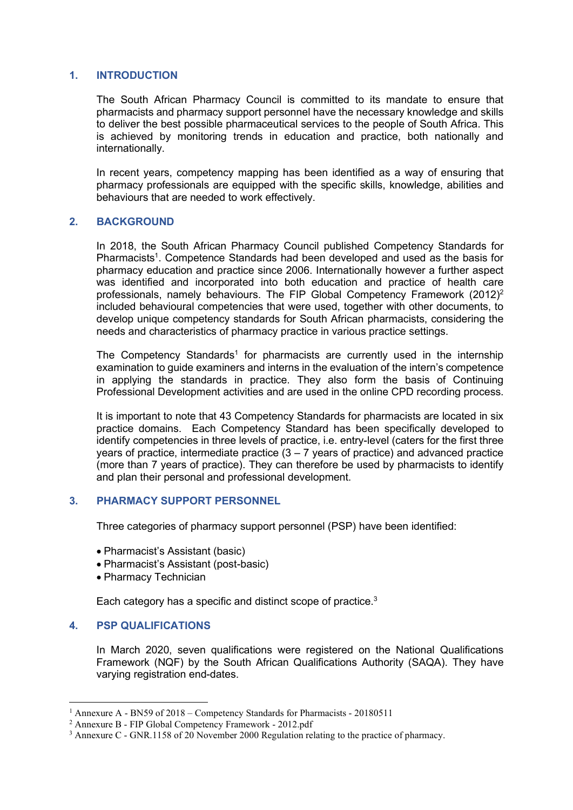#### 1. INTRODUCTION

The South African Pharmacy Council is committed to its mandate to ensure that pharmacists and pharmacy support personnel have the necessary knowledge and skills to deliver the best possible pharmaceutical services to the people of South Africa. This is achieved by monitoring trends in education and practice, both nationally and internationally.

In recent years, competency mapping has been identified as a way of ensuring that pharmacy professionals are equipped with the specific skills, knowledge, abilities and behaviours that are needed to work effectively.

#### 2. BACKGROUND

In 2018, the South African Pharmacy Council published Competency Standards for Pharmacists<sup>1</sup>. Competence Standards had been developed and used as the basis for pharmacy education and practice since 2006. Internationally however a further aspect was identified and incorporated into both education and practice of health care professionals, namely behaviours. The FIP Global Competency Framework (2012)<sup>2</sup> included behavioural competencies that were used, together with other documents, to develop unique competency standards for South African pharmacists, considering the needs and characteristics of pharmacy practice in various practice settings.

The Competency Standards<sup>1</sup> for pharmacists are currently used in the internship examination to guide examiners and interns in the evaluation of the intern's competence in applying the standards in practice. They also form the basis of Continuing Professional Development activities and are used in the online CPD recording process.

It is important to note that 43 Competency Standards for pharmacists are located in six practice domains. Each Competency Standard has been specifically developed to identify competencies in three levels of practice, i.e. entry-level (caters for the first three years of practice, intermediate practice  $(3 - 7)$  years of practice) and advanced practice (more than 7 years of practice). They can therefore be used by pharmacists to identify and plan their personal and professional development.

### 3. PHARMACY SUPPORT PERSONNEL

Three categories of pharmacy support personnel (PSP) have been identified:

- Pharmacist's Assistant (basic)
- Pharmacist's Assistant (post-basic)
- Pharmacy Technician

Each category has a specific and distinct scope of practice. $3$ 

#### 4. PSP QUALIFICATIONS

In March 2020, seven qualifications were registered on the National Qualifications Framework (NQF) by the South African Qualifications Authority (SAQA). They have varying registration end-dates.

<sup>&</sup>lt;sup>1</sup> Annexure A - BN59 of 2018 – Competency Standards for Pharmacists - 20180511

<sup>2</sup> Annexure B - FIP Global Competency Framework - 2012.pdf

<sup>&</sup>lt;sup>3</sup> Annexure C - GNR.1158 of 20 November 2000 Regulation relating to the practice of pharmacy.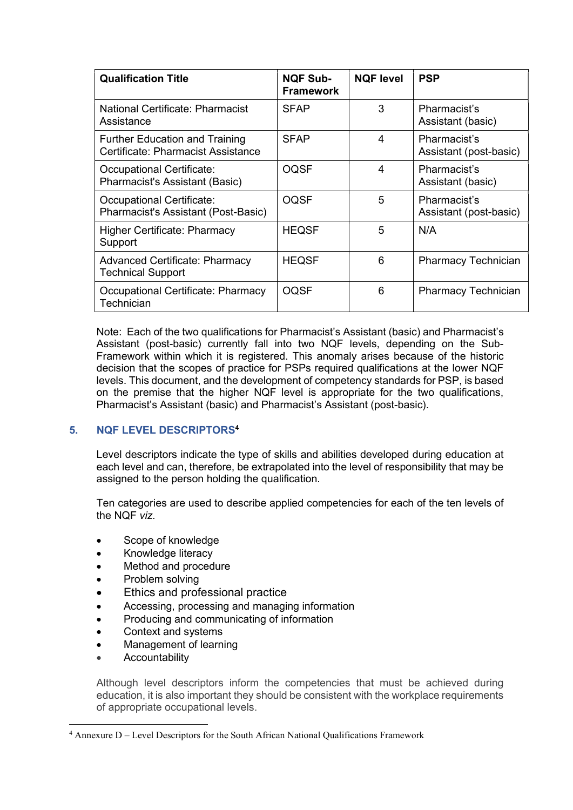| <b>Qualification Title</b>                                                  | <b>NQF Sub-</b><br><b>Framework</b> | <b>NQF level</b> | <b>PSP</b>                             |
|-----------------------------------------------------------------------------|-------------------------------------|------------------|----------------------------------------|
| National Certificate: Pharmacist<br>Assistance                              | <b>SFAP</b>                         | 3                | Pharmacist's<br>Assistant (basic)      |
| <b>Further Education and Training</b><br>Certificate: Pharmacist Assistance | <b>SFAP</b>                         | 4                | Pharmacist's<br>Assistant (post-basic) |
| Occupational Certificate:<br>Pharmacist's Assistant (Basic)                 | <b>OQSF</b>                         | 4                | Pharmacist's<br>Assistant (basic)      |
| Occupational Certificate:<br>Pharmacist's Assistant (Post-Basic)            | <b>OQSF</b>                         | 5                | Pharmacist's<br>Assistant (post-basic) |
| <b>Higher Certificate: Pharmacy</b><br>Support                              | <b>HEQSF</b>                        | 5                | N/A                                    |
| <b>Advanced Certificate: Pharmacy</b><br><b>Technical Support</b>           | <b>HEQSF</b>                        | 6                | <b>Pharmacy Technician</b>             |
| Occupational Certificate: Pharmacy<br>Technician                            | <b>OQSF</b>                         | 6                | <b>Pharmacy Technician</b>             |

Note: Each of the two qualifications for Pharmacist's Assistant (basic) and Pharmacist's Assistant (post-basic) currently fall into two NQF levels, depending on the Sub-Framework within which it is registered. This anomaly arises because of the historic decision that the scopes of practice for PSPs required qualifications at the lower NQF levels. This document, and the development of competency standards for PSP, is based on the premise that the higher NQF level is appropriate for the two qualifications, Pharmacist's Assistant (basic) and Pharmacist's Assistant (post-basic).

# 5. NQF LEVEL DESCRIPTORS<sup>4</sup>

Level descriptors indicate the type of skills and abilities developed during education at each level and can, therefore, be extrapolated into the level of responsibility that may be assigned to the person holding the qualification.

Ten categories are used to describe applied competencies for each of the ten levels of the NQF viz.

- Scope of knowledge
- Knowledge literacy
- Method and procedure
- Problem solving
- Ethics and professional practice
- Accessing, processing and managing information
- Producing and communicating of information
- Context and systems
- Management of learning
- Accountability

Although level descriptors inform the competencies that must be achieved during education, it is also important they should be consistent with the workplace requirements of appropriate occupational levels.

<sup>&</sup>lt;sup>4</sup> Annexure D – Level Descriptors for the South African National Qualifications Framework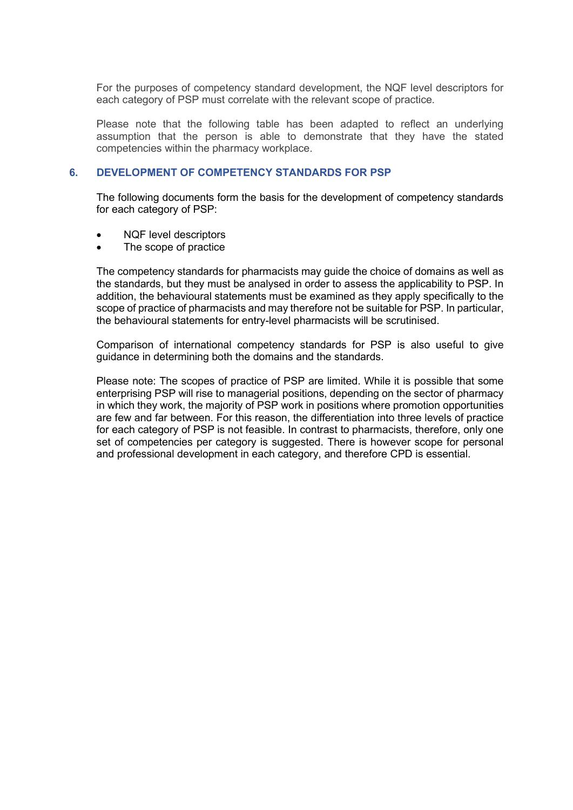For the purposes of competency standard development, the NQF level descriptors for each category of PSP must correlate with the relevant scope of practice.

Please note that the following table has been adapted to reflect an underlying assumption that the person is able to demonstrate that they have the stated competencies within the pharmacy workplace.

#### 6. DEVELOPMENT OF COMPETENCY STANDARDS FOR PSP

The following documents form the basis for the development of competency standards for each category of PSP:

- NQF level descriptors
- The scope of practice

The competency standards for pharmacists may guide the choice of domains as well as the standards, but they must be analysed in order to assess the applicability to PSP. In addition, the behavioural statements must be examined as they apply specifically to the scope of practice of pharmacists and may therefore not be suitable for PSP. In particular, the behavioural statements for entry-level pharmacists will be scrutinised.

Comparison of international competency standards for PSP is also useful to give guidance in determining both the domains and the standards.

Please note: The scopes of practice of PSP are limited. While it is possible that some enterprising PSP will rise to managerial positions, depending on the sector of pharmacy in which they work, the majority of PSP work in positions where promotion opportunities are few and far between. For this reason, the differentiation into three levels of practice for each category of PSP is not feasible. In contrast to pharmacists, therefore, only one set of competencies per category is suggested. There is however scope for personal and professional development in each category, and therefore CPD is essential.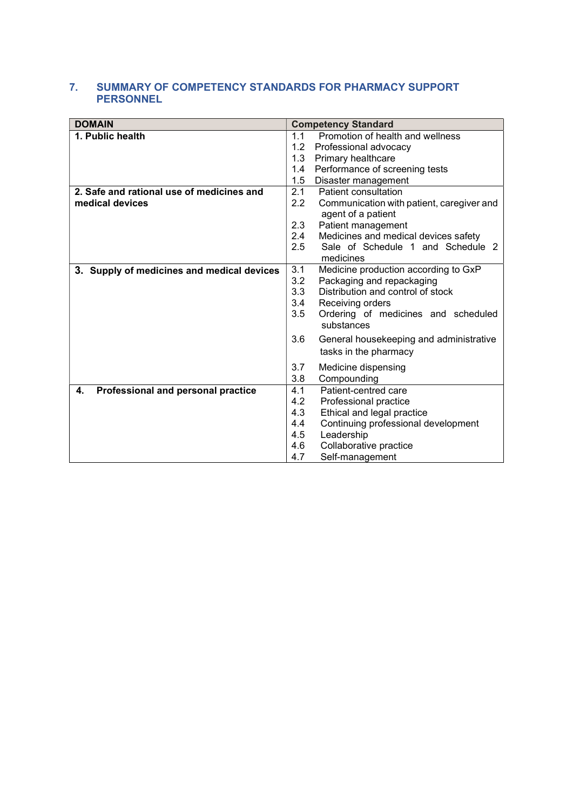### 7. SUMMARY OF COMPETENCY STANDARDS FOR PHARMACY SUPPORT PERSONNEL

| <b>DOMAIN</b>                              | <b>Competency Standard</b>                               |
|--------------------------------------------|----------------------------------------------------------|
| 1. Public health                           | 1.1<br>Promotion of health and wellness                  |
|                                            | 1.2<br>Professional advocacy                             |
|                                            | 1.3<br>Primary healthcare                                |
|                                            | 1.4<br>Performance of screening tests                    |
|                                            | 1.5<br>Disaster management                               |
| 2. Safe and rational use of medicines and  | 2.1<br>Patient consultation                              |
| medical devices                            | 2.2<br>Communication with patient, caregiver and         |
|                                            | agent of a patient                                       |
|                                            | $2.3\,$<br>Patient management                            |
|                                            | 2.4<br>Medicines and medical devices safety              |
|                                            | $2.5\,$<br>Sale of Schedule 1 and Schedule 2             |
|                                            | medicines                                                |
| 3. Supply of medicines and medical devices | 3.1<br>Medicine production according to GxP              |
|                                            | 3.2<br>Packaging and repackaging                         |
|                                            | 3.3<br>Distribution and control of stock                 |
|                                            | 3.4<br>Receiving orders                                  |
|                                            | 3.5<br>Ordering of medicines and scheduled<br>substances |
|                                            |                                                          |
|                                            | 3.6<br>General housekeeping and administrative           |
|                                            | tasks in the pharmacy                                    |
|                                            | 3.7<br>Medicine dispensing                               |
|                                            | 3.8<br>Compounding                                       |
| Professional and personal practice<br>4.   | 4.1<br>Patient-centred care                              |
|                                            | 4.2<br>Professional practice                             |
|                                            | 4.3<br>Ethical and legal practice                        |
|                                            | 4.4<br>Continuing professional development               |
|                                            | 4.5<br>Leadership                                        |
|                                            | 4.6<br>Collaborative practice                            |
|                                            | 4.7<br>Self-management                                   |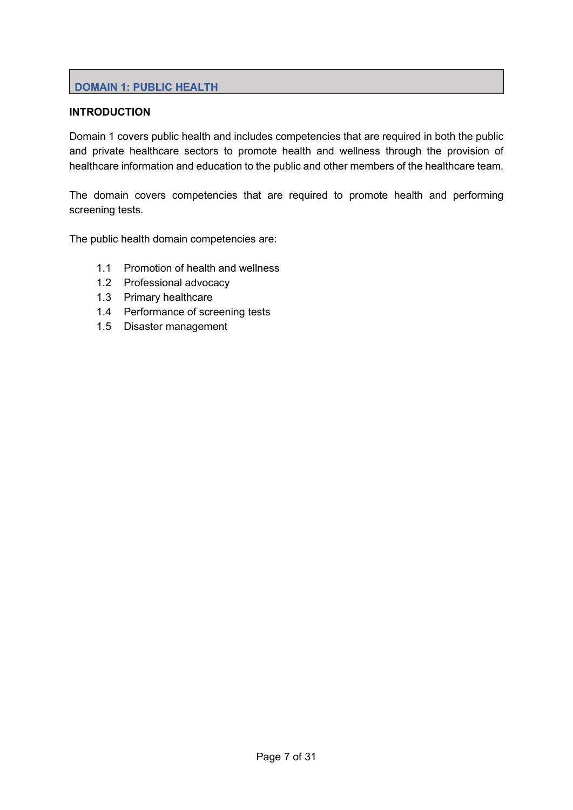# DOMAIN 1: PUBLIC HEALTH

### **INTRODUCTION**

Domain 1 covers public health and includes competencies that are required in both the public and private healthcare sectors to promote health and wellness through the provision of healthcare information and education to the public and other members of the healthcare team.

The domain covers competencies that are required to promote health and performing screening tests.

The public health domain competencies are:

- 1.1 Promotion of health and wellness
- 1.2 Professional advocacy
- 1.3 Primary healthcare
- 1.4 Performance of screening tests
- 1.5 Disaster management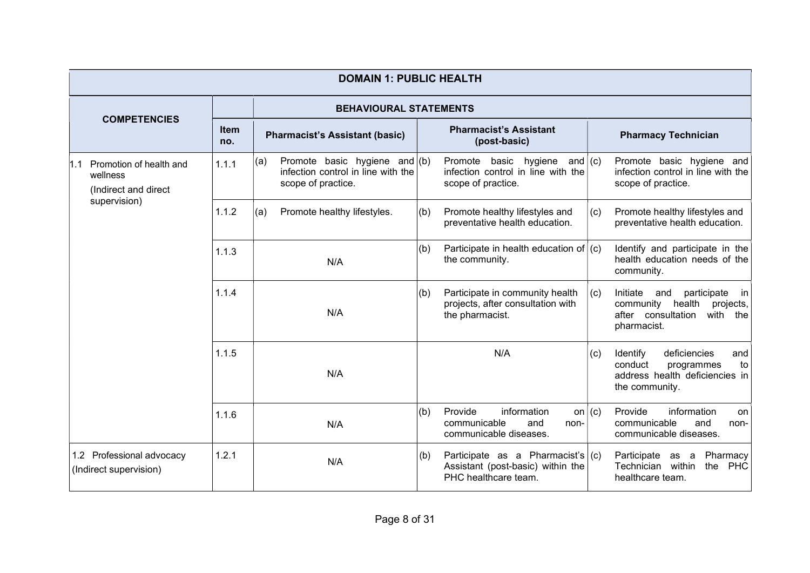|                                                                     | <b>DOMAIN 1: PUBLIC HEALTH</b>                      |                    |                                                                                                        |     |                                                                                                  |                            |                                                                                                                              |  |  |  |  |  |  |
|---------------------------------------------------------------------|-----------------------------------------------------|--------------------|--------------------------------------------------------------------------------------------------------|-----|--------------------------------------------------------------------------------------------------|----------------------------|------------------------------------------------------------------------------------------------------------------------------|--|--|--|--|--|--|
|                                                                     |                                                     |                    | <b>BEHAVIOURAL STATEMENTS</b>                                                                          |     |                                                                                                  |                            |                                                                                                                              |  |  |  |  |  |  |
|                                                                     | <b>COMPETENCIES</b>                                 | <b>Item</b><br>no. | <b>Pharmacist's Assistant (basic)</b>                                                                  |     | <b>Pharmacist's Assistant</b><br>(post-basic)                                                    | <b>Pharmacy Technician</b> |                                                                                                                              |  |  |  |  |  |  |
| Promotion of health and<br>1.1<br>wellness<br>(Indirect and direct) |                                                     | 1.1.1              | Promote basic hygiene and $($ b $)$<br>(a)<br>infection control in line with the<br>scope of practice. |     | Promote basic hygiene<br>and $(c)$<br>infection control in line with the<br>scope of practice.   |                            | Promote basic hygiene and<br>infection control in line with the<br>scope of practice.                                        |  |  |  |  |  |  |
|                                                                     | supervision)                                        | 1.1.2              | (a)<br>Promote healthy lifestyles.                                                                     | (b) | Promote healthy lifestyles and<br>preventative health education.                                 | (c)                        | Promote healthy lifestyles and<br>preventative health education.                                                             |  |  |  |  |  |  |
|                                                                     |                                                     | 1.1.3              | N/A                                                                                                    | (b) | Participate in health education of $(c)$<br>the community.                                       |                            | Identify and participate in the<br>health education needs of the<br>community.                                               |  |  |  |  |  |  |
|                                                                     |                                                     | 1.1.4              | N/A                                                                                                    | (b) | Participate in community health<br>projects, after consultation with<br>the pharmacist.          | (c)                        | Initiate<br>participate<br>and<br>in in<br>community health<br>projects,<br>after consultation<br>with<br>the<br>pharmacist. |  |  |  |  |  |  |
|                                                                     |                                                     | 1.1.5              | N/A                                                                                                    |     | N/A                                                                                              | (c)                        | deficiencies<br>Identify<br>and<br>conduct<br>programmes<br>to<br>address health deficiencies in<br>the community.           |  |  |  |  |  |  |
|                                                                     |                                                     | 1.1.6              | N/A                                                                                                    | (b) | Provide<br>information<br>communicable<br>and<br>non-<br>communicable diseases.                  | on $(c)$                   | Provide<br>information<br><b>on</b><br>communicable<br>and<br>non-<br>communicable diseases.                                 |  |  |  |  |  |  |
|                                                                     | 1.2 Professional advocacy<br>(Indirect supervision) | 1.2.1              | N/A                                                                                                    | (b) | Participate as a Pharmacist's $(c)$<br>Assistant (post-basic) within the<br>PHC healthcare team. |                            | Participate<br>Pharmacy<br>as a<br>Technician within<br>the<br><b>PHC</b><br>healthcare team.                                |  |  |  |  |  |  |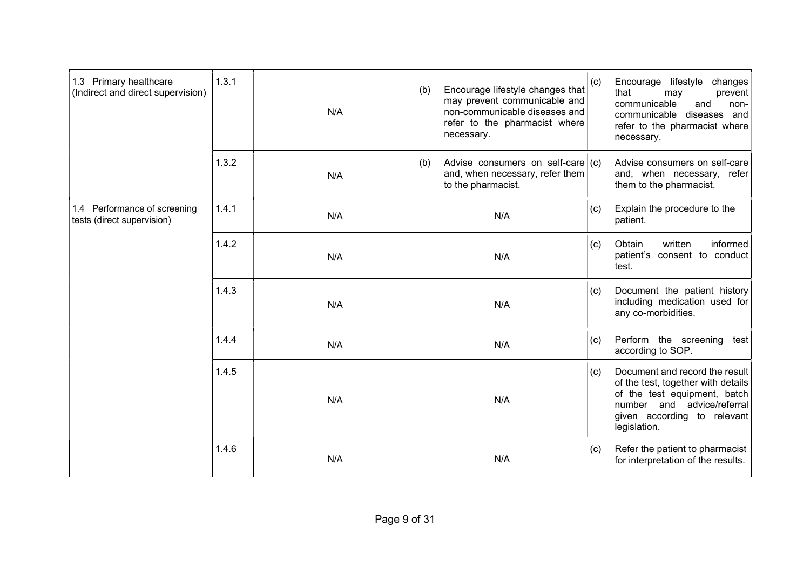| 1.3 Primary healthcare<br>(Indirect and direct supervision) | 1.3.1 | N/A | (b) | Encourage lifestyle changes that<br>may prevent communicable and<br>non-communicable diseases and<br>refer to the pharmacist where<br>necessary. | (c) | Encourage lifestyle changes<br>that<br>prevent<br>may<br>communicable<br>and<br>non-<br>communicable diseases and<br>refer to the pharmacist where<br>necessary.                  |
|-------------------------------------------------------------|-------|-----|-----|--------------------------------------------------------------------------------------------------------------------------------------------------|-----|-----------------------------------------------------------------------------------------------------------------------------------------------------------------------------------|
|                                                             | 1.3.2 | N/A | (b) | Advise consumers on self-care $(c)$<br>and, when necessary, refer them<br>to the pharmacist.                                                     |     | Advise consumers on self-care<br>and, when necessary, refer<br>them to the pharmacist.                                                                                            |
| 1.4 Performance of screening<br>tests (direct supervision)  | 1.4.1 | N/A |     | N/A                                                                                                                                              | (c) | Explain the procedure to the<br>patient.                                                                                                                                          |
|                                                             | 1.4.2 | N/A | N/A |                                                                                                                                                  | (c) | Obtain<br>written<br>informed<br>patient's consent to conduct<br>test.                                                                                                            |
|                                                             | 1.4.3 | N/A | N/A |                                                                                                                                                  | (c) | Document the patient history<br>including medication used for<br>any co-morbidities.                                                                                              |
|                                                             | 1.4.4 | N/A |     | N/A                                                                                                                                              | (c) | Perform the screening test<br>according to SOP.                                                                                                                                   |
|                                                             | 1.4.5 | N/A |     | N/A                                                                                                                                              | (c) | Document and record the result<br>of the test, together with details<br>of the test equipment, batch<br>number and advice/referral<br>given according to relevant<br>legislation. |
|                                                             | 1.4.6 | N/A |     | N/A                                                                                                                                              | (c) | Refer the patient to pharmacist<br>for interpretation of the results.                                                                                                             |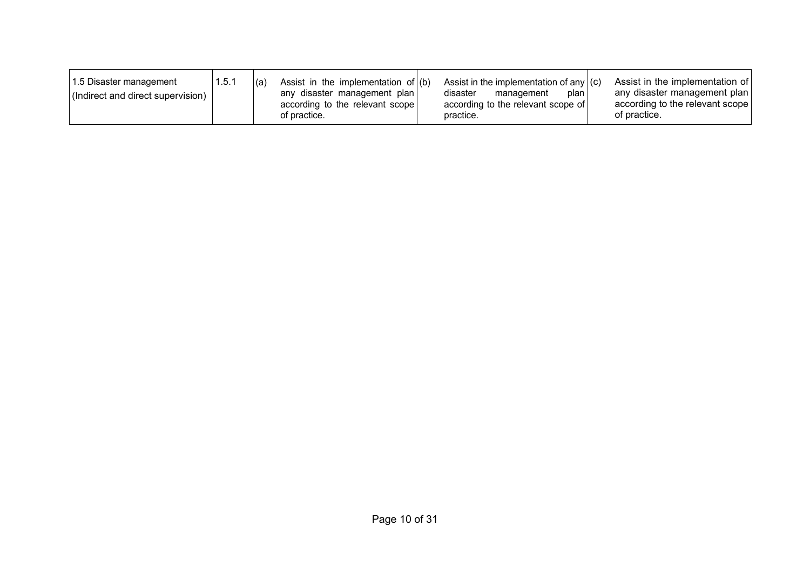| 1.5 Disaster management<br>1.5.1<br>(Indirect and direct supervision) | Assist in the implementation of $(6)$<br>(a)<br>any disaster management plan<br>according to the relevant scope<br>of practice. | Assist in the implementation of any $ (c) $<br>disaster<br>plan<br>management<br>according to the relevant scope of<br>practice. | Assist in the implementation of<br>any disaster management plan<br>according to the relevant scope<br>of practice. |
|-----------------------------------------------------------------------|---------------------------------------------------------------------------------------------------------------------------------|----------------------------------------------------------------------------------------------------------------------------------|--------------------------------------------------------------------------------------------------------------------|
|-----------------------------------------------------------------------|---------------------------------------------------------------------------------------------------------------------------------|----------------------------------------------------------------------------------------------------------------------------------|--------------------------------------------------------------------------------------------------------------------|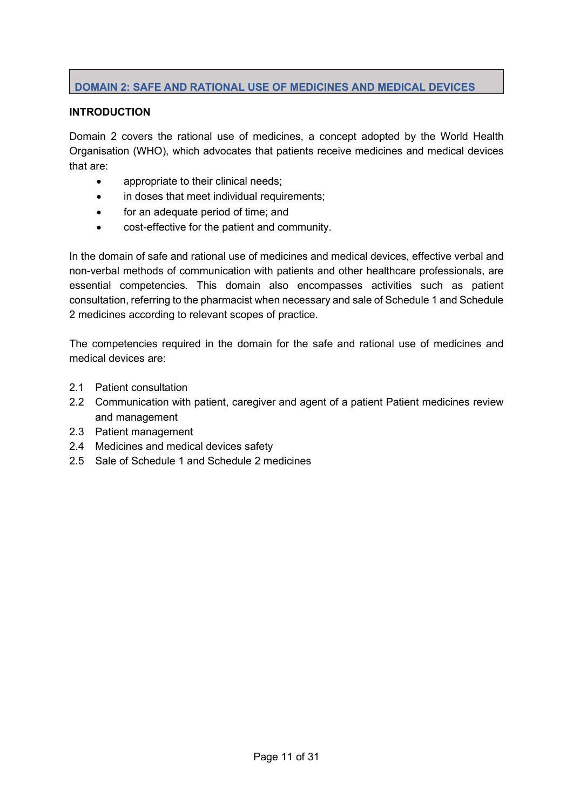# DOMAIN 2: SAFE AND RATIONAL USE OF MEDICINES AND MEDICAL DEVICES

## **INTRODUCTION**

Domain 2 covers the rational use of medicines, a concept adopted by the World Health Organisation (WHO), which advocates that patients receive medicines and medical devices that are:

- appropriate to their clinical needs;
- in doses that meet individual requirements;
- for an adequate period of time; and
- cost-effective for the patient and community.

In the domain of safe and rational use of medicines and medical devices, effective verbal and non-verbal methods of communication with patients and other healthcare professionals, are essential competencies. This domain also encompasses activities such as patient consultation, referring to the pharmacist when necessary and sale of Schedule 1 and Schedule 2 medicines according to relevant scopes of practice.

The competencies required in the domain for the safe and rational use of medicines and medical devices are:

- 2.1 Patient consultation
- 2.2 Communication with patient, caregiver and agent of a patient Patient medicines review and management
- 2.3 Patient management
- 2.4 Medicines and medical devices safety
- 2.5 Sale of Schedule 1 and Schedule 2 medicines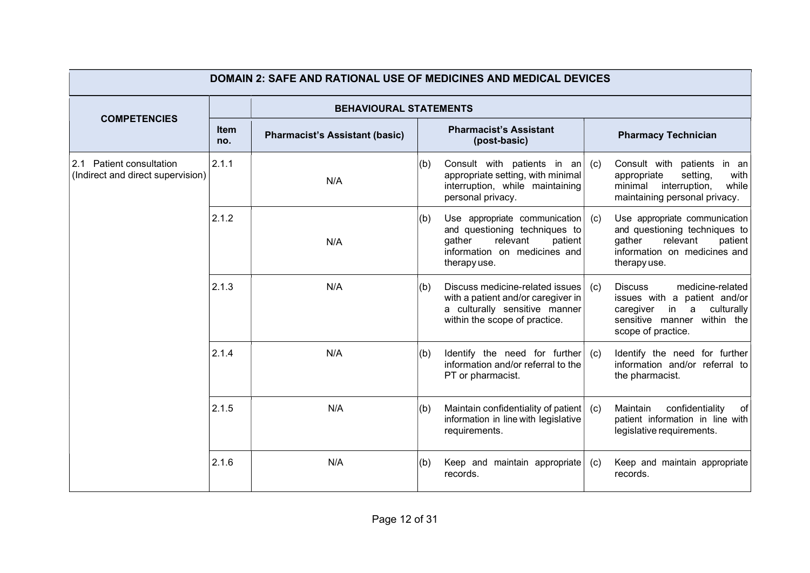| <b>DOMAIN 2: SAFE AND RATIONAL USE OF MEDICINES AND MEDICAL DEVICES</b> |                    |                                       |                                                                             |                                                                                                                                                 |     |                                                                                                                                                         |  |  |  |
|-------------------------------------------------------------------------|--------------------|---------------------------------------|-----------------------------------------------------------------------------|-------------------------------------------------------------------------------------------------------------------------------------------------|-----|---------------------------------------------------------------------------------------------------------------------------------------------------------|--|--|--|
|                                                                         |                    | <b>BEHAVIOURAL STATEMENTS</b>         |                                                                             |                                                                                                                                                 |     |                                                                                                                                                         |  |  |  |
| <b>COMPETENCIES</b>                                                     | <b>Item</b><br>no. | <b>Pharmacist's Assistant (basic)</b> | <b>Pharmacist's Assistant</b><br><b>Pharmacy Technician</b><br>(post-basic) |                                                                                                                                                 |     |                                                                                                                                                         |  |  |  |
| 2.1 Patient consultation<br>(Indirect and direct supervision)           | 2.1.1              | N/A                                   | (b)                                                                         | Consult with patients in an $(c)$<br>appropriate setting, with minimal<br>interruption, while maintaining<br>personal privacy.                  |     | Consult with patients in an<br>setting,<br>appropriate<br>with<br>interruption,<br>while<br>minimal<br>maintaining personal privacy.                    |  |  |  |
|                                                                         | 2.1.2              | N/A                                   | (b)                                                                         | Use appropriate communication<br>and questioning techniques to<br>relevant<br>patient<br>gather<br>information on medicines and<br>therapy use. | (c) | Use appropriate communication<br>and questioning techniques to<br>relevant<br>gather<br>patient<br>information on medicines and<br>therapy use.         |  |  |  |
|                                                                         | 2.1.3              | N/A                                   | (b)                                                                         | Discuss medicine-related issues<br>with a patient and/or caregiver in<br>a culturally sensitive manner<br>within the scope of practice.         | (c) | medicine-related<br><b>Discuss</b><br>issues with a patient and/or<br>in a culturally<br>caregiver<br>sensitive manner within the<br>scope of practice. |  |  |  |
|                                                                         | 2.1.4              | N/A                                   | (b)                                                                         | Identify the need for further<br>information and/or referral to the<br>PT or pharmacist.                                                        | (c) | Identify the need for further<br>information and/or referral to<br>the pharmacist.                                                                      |  |  |  |
|                                                                         | 2.1.5              | N/A                                   | (b)                                                                         | Maintain confidentiality of patient<br>information in line with legislative<br>requirements.                                                    | (c) | Maintain<br>confidentiality<br>of<br>patient information in line with<br>legislative requirements.                                                      |  |  |  |
|                                                                         | 2.1.6              | N/A                                   | (b)                                                                         | Keep and maintain appropriate<br>records.                                                                                                       | (c) | Keep and maintain appropriate<br>records.                                                                                                               |  |  |  |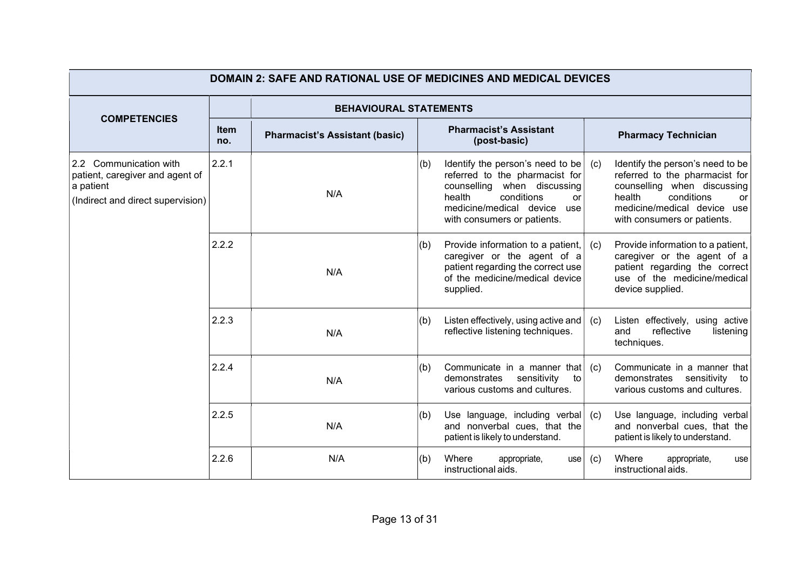| <b>DOMAIN 2: SAFE AND RATIONAL USE OF MEDICINES AND MEDICAL DEVICES</b>                                     |                               |                                       |     |                                                                                                                                                                                                  |           |                                                                                                                                                                                               |  |  |  |
|-------------------------------------------------------------------------------------------------------------|-------------------------------|---------------------------------------|-----|--------------------------------------------------------------------------------------------------------------------------------------------------------------------------------------------------|-----------|-----------------------------------------------------------------------------------------------------------------------------------------------------------------------------------------------|--|--|--|
|                                                                                                             | <b>BEHAVIOURAL STATEMENTS</b> |                                       |     |                                                                                                                                                                                                  |           |                                                                                                                                                                                               |  |  |  |
| <b>COMPETENCIES</b>                                                                                         | <b>Item</b><br>no.            | <b>Pharmacist's Assistant (basic)</b> |     | <b>Pharmacist's Assistant</b><br>(post-basic)                                                                                                                                                    |           | <b>Pharmacy Technician</b>                                                                                                                                                                    |  |  |  |
| 2.2 Communication with<br>patient, caregiver and agent of<br>a patient<br>(Indirect and direct supervision) | 2.2.1                         | N/A                                   | (b) | Identify the person's need to be<br>referred to the pharmacist for<br>counselling when discussing<br>health<br>conditions<br>or<br>medicine/medical device<br>use<br>with consumers or patients. | (c)       | Identify the person's need to be<br>referred to the pharmacist for<br>counselling when discussing<br>health<br>conditions<br>or<br>medicine/medical device use<br>with consumers or patients. |  |  |  |
|                                                                                                             | 2.2.2                         | N/A                                   | (b) | Provide information to a patient,<br>caregiver or the agent of a<br>patient regarding the correct use<br>of the medicine/medical device<br>supplied.                                             | (c)       | Provide information to a patient,<br>caregiver or the agent of a<br>patient regarding the correct<br>use of the medicine/medical<br>device supplied.                                          |  |  |  |
|                                                                                                             | 2.2.3                         | N/A                                   | (b) | Listen effectively, using active and<br>reflective listening techniques.                                                                                                                         | (c)       | Listen effectively, using active<br>reflective<br>and<br>listening<br>techniques.                                                                                                             |  |  |  |
|                                                                                                             | 2.2.4                         | N/A                                   | (b) | Communicate in a manner that<br>demonstrates<br>sensitivity<br>to<br>various customs and cultures.                                                                                               | (c)       | Communicate in a manner that<br>demonstrates sensitivity<br>to<br>various customs and cultures.                                                                                               |  |  |  |
|                                                                                                             | 2.2.5                         | N/A                                   | (b) | Use language, including verbal $(c)$<br>and nonverbal cues, that the<br>patient is likely to understand.                                                                                         |           | Use language, including verbal<br>and nonverbal cues, that the<br>patient is likely to understand.                                                                                            |  |  |  |
|                                                                                                             | 2.2.6                         | N/A                                   | (b) | Where<br>appropriate,<br>instructional aids.                                                                                                                                                     | use   (c) | Where<br>appropriate,<br>use<br>instructional aids.                                                                                                                                           |  |  |  |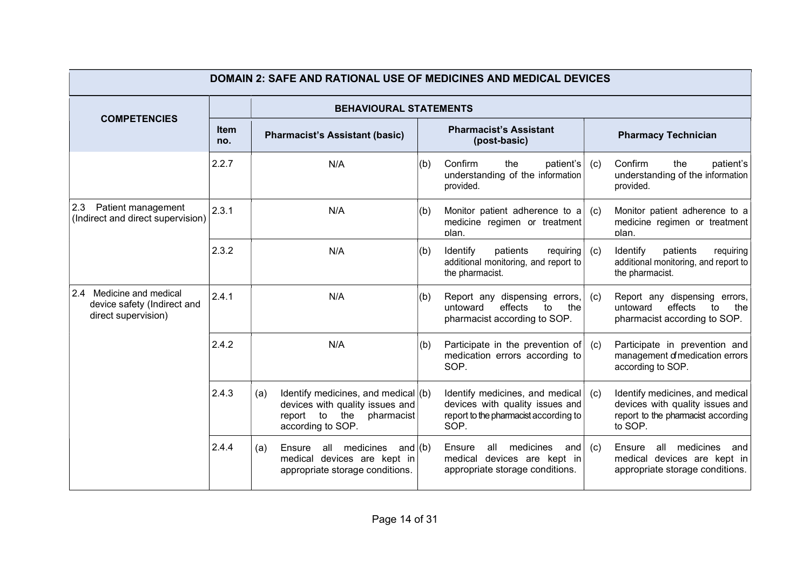| <b>DOMAIN 2: SAFE AND RATIONAL USE OF MEDICINES AND MEDICAL DEVICES</b>        |                    |                                                                                                                                     |                                                                             |                                                                                                                     |     |                                                                                                                     |  |  |
|--------------------------------------------------------------------------------|--------------------|-------------------------------------------------------------------------------------------------------------------------------------|-----------------------------------------------------------------------------|---------------------------------------------------------------------------------------------------------------------|-----|---------------------------------------------------------------------------------------------------------------------|--|--|
|                                                                                |                    | <b>BEHAVIOURAL STATEMENTS</b>                                                                                                       |                                                                             |                                                                                                                     |     |                                                                                                                     |  |  |
| <b>COMPETENCIES</b>                                                            | <b>Item</b><br>no. | <b>Pharmacist's Assistant (basic)</b>                                                                                               | <b>Pharmacist's Assistant</b><br><b>Pharmacy Technician</b><br>(post-basic) |                                                                                                                     |     |                                                                                                                     |  |  |
|                                                                                | 2.2.7              | N/A                                                                                                                                 | (b)                                                                         | Confirm<br>the<br>$p$ atient's<br>understanding of the information<br>provided.                                     | (c) | Confirm<br>the<br>patient's<br>understanding of the information<br>provided.                                        |  |  |
| 2.3<br>Patient management<br>(Indirect and direct supervision)                 | 2.3.1              | N/A                                                                                                                                 | (b)                                                                         | Monitor patient adherence to a<br>medicine regimen or treatment<br>plan.                                            | (c) | Monitor patient adherence to a<br>medicine regimen or treatment<br>plan.                                            |  |  |
|                                                                                | 2.3.2              | N/A                                                                                                                                 | (b)                                                                         | Identify<br>patients<br>requiring<br>additional monitoring, and report to<br>the pharmacist.                        | (c) | Identify<br>patients<br>requiring<br>additional monitoring, and report to<br>the pharmacist.                        |  |  |
| 2.4 Medicine and medical<br>device safety (Indirect and<br>direct supervision) | 2.4.1              | N/A                                                                                                                                 | (b)                                                                         | Report any dispensing errors,<br>effects<br>untoward<br>to<br>the<br>pharmacist according to SOP.                   | (c) | Report any dispensing errors,<br>effects<br>untoward<br>to<br>the<br>pharmacist according to SOP.                   |  |  |
|                                                                                | 2.4.2              | N/A                                                                                                                                 | (b)                                                                         | Participate in the prevention of $\vert$ (c)<br>medication errors according to<br>SOP.                              |     | Participate in prevention and<br>management of medication errors<br>according to SOP.                               |  |  |
|                                                                                | 2.4.3              | Identify medicines, and medical $(6)$<br>(a)<br>devices with quality issues and<br>report to the<br>pharmacist<br>according to SOP. |                                                                             | Identify medicines, and medical<br>devices with quality issues and<br>report to the pharmacist according to<br>SOP. | (c) | Identify medicines, and medical<br>devices with quality issues and<br>report to the pharmacist according<br>to SOP. |  |  |
|                                                                                | 2.4.4              | Ensure all medicines and (b)<br>(a)<br>medical devices are kept in<br>appropriate storage conditions.                               |                                                                             | all medicines<br>Ensure<br>and<br>medical devices are kept in<br>appropriate storage conditions.                    | (c) | all medicines<br>Ensure<br>and<br>medical devices are kept in<br>appropriate storage conditions.                    |  |  |
|                                                                                |                    |                                                                                                                                     |                                                                             |                                                                                                                     |     |                                                                                                                     |  |  |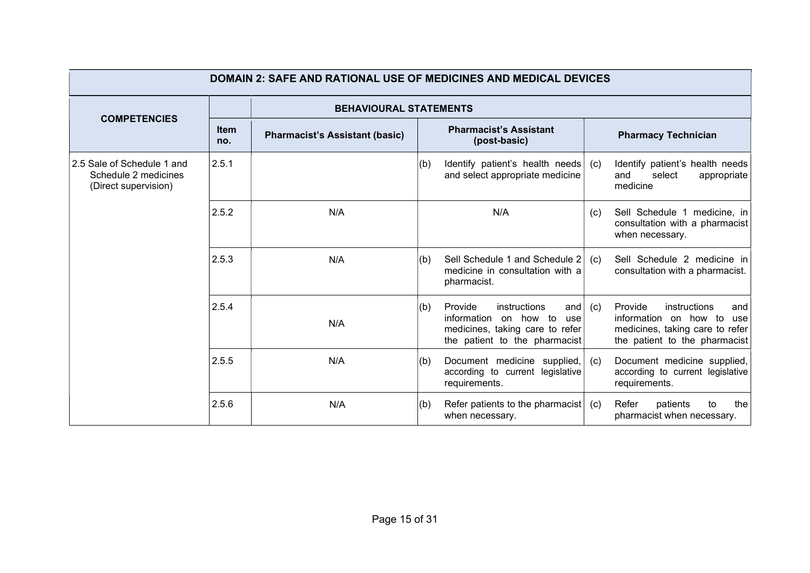| <b>DOMAIN 2: SAFE AND RATIONAL USE OF MEDICINES AND MEDICAL DEVICES</b>    |                    |                                                                                        |     |                                                                                                                                    |     |                                                                                                                                    |  |  |  |  |
|----------------------------------------------------------------------------|--------------------|----------------------------------------------------------------------------------------|-----|------------------------------------------------------------------------------------------------------------------------------------|-----|------------------------------------------------------------------------------------------------------------------------------------|--|--|--|--|
|                                                                            |                    | <b>BEHAVIOURAL STATEMENTS</b>                                                          |     |                                                                                                                                    |     |                                                                                                                                    |  |  |  |  |
| <b>COMPETENCIES</b>                                                        | <b>Item</b><br>no. | <b>Pharmacist's Assistant</b><br><b>Pharmacist's Assistant (basic)</b><br>(post-basic) |     | <b>Pharmacy Technician</b>                                                                                                         |     |                                                                                                                                    |  |  |  |  |
| 2.5 Sale of Schedule 1 and<br>Schedule 2 medicines<br>(Direct supervision) | 2.5.1              |                                                                                        | (b) | Identify patient's health needs<br>and select appropriate medicine                                                                 | (c) | Identify patient's health needs<br>and<br>select<br>appropriate<br>medicine                                                        |  |  |  |  |
|                                                                            | 2.5.2              | N/A                                                                                    |     | N/A                                                                                                                                | (c) | Sell Schedule 1 medicine, in<br>consultation with a pharmacist<br>when necessary.                                                  |  |  |  |  |
|                                                                            | 2.5.3              | N/A                                                                                    | (b) | Sell Schedule 1 and Schedule 2<br>medicine in consultation with a<br>pharmacist.                                                   | (c) | Sell Schedule 2 medicine in<br>consultation with a pharmacist.                                                                     |  |  |  |  |
|                                                                            | 2.5.4              | N/A                                                                                    | (b) | Provide<br>instructions<br>and<br>information on how to<br>use<br>medicines, taking care to refer<br>the patient to the pharmacist | (c) | Provide<br>instructions<br>and<br>information on how to<br>use<br>medicines, taking care to refer<br>the patient to the pharmacist |  |  |  |  |
|                                                                            | 2.5.5              | N/A                                                                                    | (b) | Document medicine supplied,<br>according to current legislative<br>requirements.                                                   | (c) | Document medicine supplied,<br>according to current legislative<br>requirements.                                                   |  |  |  |  |
|                                                                            | 2.5.6              | N/A                                                                                    | (b) | Refer patients to the pharmacist $(c)$<br>when necessary.                                                                          |     | Refer<br>patients<br>the<br>to<br>pharmacist when necessary.                                                                       |  |  |  |  |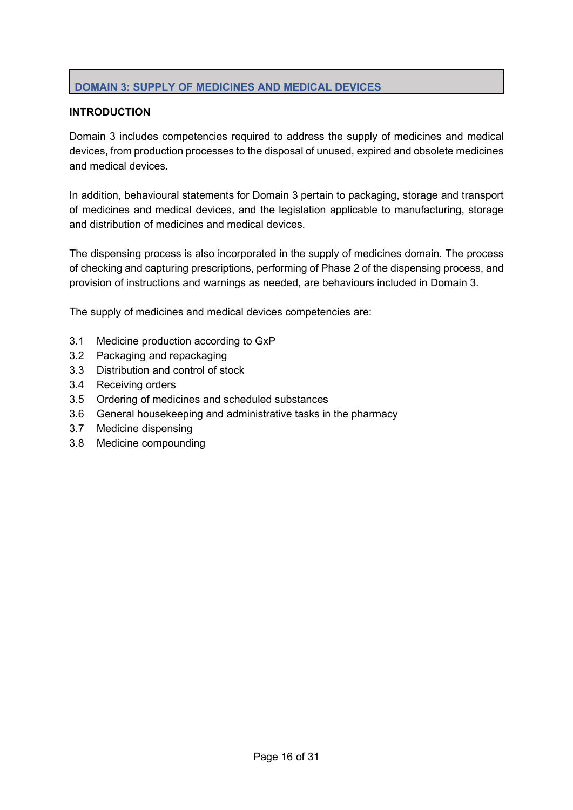# DOMAIN 3: SUPPLY OF MEDICINES AND MEDICAL DEVICES

# **INTRODUCTION**

Domain 3 includes competencies required to address the supply of medicines and medical devices, from production processes to the disposal of unused, expired and obsolete medicines and medical devices.

In addition, behavioural statements for Domain 3 pertain to packaging, storage and transport of medicines and medical devices, and the legislation applicable to manufacturing, storage and distribution of medicines and medical devices.

The dispensing process is also incorporated in the supply of medicines domain. The process of checking and capturing prescriptions, performing of Phase 2 of the dispensing process, and provision of instructions and warnings as needed, are behaviours included in Domain 3.

The supply of medicines and medical devices competencies are:

- 3.1 Medicine production according to GxP
- 3.2 Packaging and repackaging
- 3.3 Distribution and control of stock
- 3.4 Receiving orders
- 3.5 Ordering of medicines and scheduled substances
- 3.6 General housekeeping and administrative tasks in the pharmacy
- 3.7 Medicine dispensing
- 3.8 Medicine compounding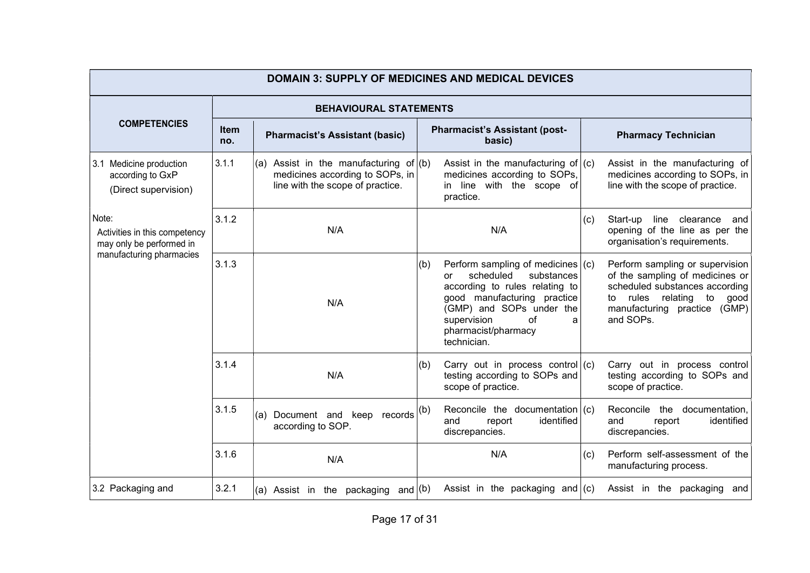| <b>DOMAIN 3: SUPPLY OF MEDICINES AND MEDICAL DEVICES</b>                                       |                    |                                                                                                                    |                                                                                                                                                                                                                                          |                                                                                                                                                                                   |  |  |  |  |  |  |
|------------------------------------------------------------------------------------------------|--------------------|--------------------------------------------------------------------------------------------------------------------|------------------------------------------------------------------------------------------------------------------------------------------------------------------------------------------------------------------------------------------|-----------------------------------------------------------------------------------------------------------------------------------------------------------------------------------|--|--|--|--|--|--|
|                                                                                                |                    | <b>BEHAVIOURAL STATEMENTS</b>                                                                                      |                                                                                                                                                                                                                                          |                                                                                                                                                                                   |  |  |  |  |  |  |
| <b>COMPETENCIES</b>                                                                            | <b>Item</b><br>no. | <b>Pharmacist's Assistant (basic)</b>                                                                              | <b>Pharmacist's Assistant (post-</b><br>basic)                                                                                                                                                                                           | <b>Pharmacy Technician</b>                                                                                                                                                        |  |  |  |  |  |  |
| 3.1 Medicine production<br>according to GxP<br>(Direct supervision)                            | 3.1.1              | Assist in the manufacturing of $(6)$<br>(a)<br>medicines according to SOPs, in<br>line with the scope of practice. | Assist in the manufacturing of $(c)$<br>medicines according to SOPs,<br>in line with the scope of<br>practice.                                                                                                                           | Assist in the manufacturing of<br>medicines according to SOPs, in<br>line with the scope of practice.                                                                             |  |  |  |  |  |  |
| Note:<br>Activities in this competency<br>may only be performed in<br>manufacturing pharmacies | 3.1.2              | N/A                                                                                                                | N/A                                                                                                                                                                                                                                      | line clearance<br>Start-up<br>(c)<br>and<br>opening of the line as per the<br>organisation's requirements.                                                                        |  |  |  |  |  |  |
|                                                                                                | 3.1.3              | N/A                                                                                                                | Perform sampling of medicines $(c)$<br>(b)<br>scheduled<br>substances<br>or<br>according to rules relating to<br>good manufacturing practice<br>(GMP) and SOPs under the<br>supervision<br>of<br>a<br>pharmacist/pharmacy<br>technician. | Perform sampling or supervision<br>of the sampling of medicines or<br>scheduled substances according<br>to rules relating to<br>good<br>manufacturing practice (GMP)<br>and SOPs. |  |  |  |  |  |  |
|                                                                                                | 3.1.4              | N/A                                                                                                                | Carry out in process control $(c)$<br>(b)<br>testing according to SOPs and<br>scope of practice.                                                                                                                                         | Carry out in process control<br>testing according to SOPs and<br>scope of practice.                                                                                               |  |  |  |  |  |  |
|                                                                                                | 3.1.5              | records   (b)<br>Document and keep<br>(a)<br>according to SOP.                                                     | Reconcile the documentation $(c)$<br>identified<br>report<br>and<br>discrepancies.                                                                                                                                                       | Reconcile the<br>documentation,<br>identified<br>and<br>report<br>discrepancies.                                                                                                  |  |  |  |  |  |  |
|                                                                                                | 3.1.6              | N/A                                                                                                                | N/A                                                                                                                                                                                                                                      | Perform self-assessment of the<br>(c)<br>manufacturing process.                                                                                                                   |  |  |  |  |  |  |
| 3.2 Packaging and                                                                              | 3.2.1              | and $ (b)$<br>(a) Assist in the packaging                                                                          | Assist in the packaging and $(c)$                                                                                                                                                                                                        | Assist in the packaging<br>and                                                                                                                                                    |  |  |  |  |  |  |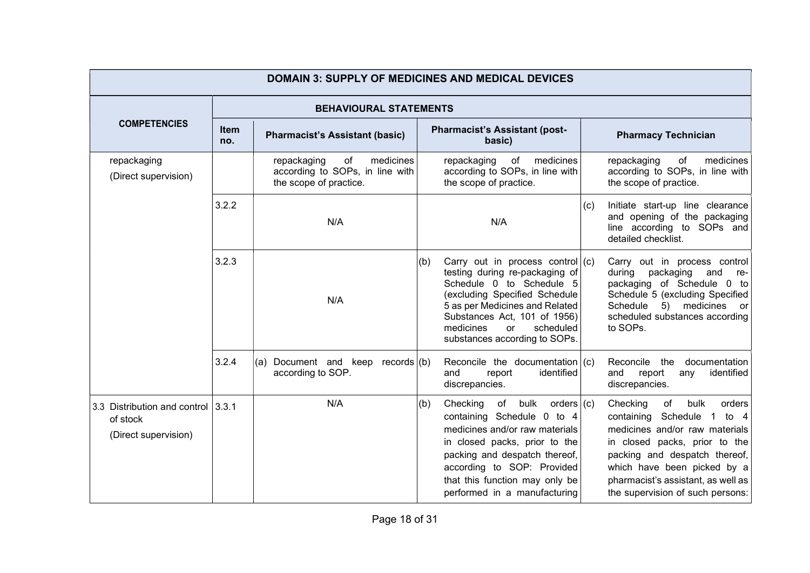| <b>DOMAIN 3: SUPPLY OF MEDICINES AND MEDICAL DEVICES</b>                |                    |                                                                                             |                                                                                                                                                                                                                                                                                    |                                                                                                                                                                                                                                                                                |  |  |  |  |
|-------------------------------------------------------------------------|--------------------|---------------------------------------------------------------------------------------------|------------------------------------------------------------------------------------------------------------------------------------------------------------------------------------------------------------------------------------------------------------------------------------|--------------------------------------------------------------------------------------------------------------------------------------------------------------------------------------------------------------------------------------------------------------------------------|--|--|--|--|
|                                                                         |                    |                                                                                             | <b>BEHAVIOURAL STATEMENTS</b>                                                                                                                                                                                                                                                      |                                                                                                                                                                                                                                                                                |  |  |  |  |
| <b>COMPETENCIES</b>                                                     | <b>Item</b><br>no. | <b>Pharmacist's Assistant (basic)</b>                                                       | <b>Pharmacist's Assistant (post-</b><br>basic)                                                                                                                                                                                                                                     | <b>Pharmacy Technician</b>                                                                                                                                                                                                                                                     |  |  |  |  |
| repackaging<br>(Direct supervision)                                     |                    | medicines<br>repackaging<br>of<br>according to SOPs, in line with<br>the scope of practice. | medicines<br>repackaging<br>of<br>according to SOPs, in line with<br>the scope of practice.                                                                                                                                                                                        | medicines<br>repackaging<br>of<br>according to SOPs, in line with<br>the scope of practice.                                                                                                                                                                                    |  |  |  |  |
|                                                                         | 3.2.2              | N/A                                                                                         | N/A                                                                                                                                                                                                                                                                                | Initiate start-up line clearance<br>(c)<br>and opening of the packaging<br>line according to SOPs and<br>detailed checklist.                                                                                                                                                   |  |  |  |  |
|                                                                         | 3.2.3              | N/A                                                                                         | Carry out in process control $(c)$<br>(b)<br>testing during re-packaging of<br>Schedule 0 to Schedule 5<br>(excluding Specified Schedule<br>5 as per Medicines and Related<br>Substances Act, 101 of 1956)<br>medicines<br>scheduled<br><b>or</b><br>substances according to SOPs. | Carry out in process control<br>packaging<br>during<br>and<br>re-<br>packaging of Schedule 0 to<br>Schedule 5 (excluding Specified<br>5) medicines<br>Schedule<br>or<br>scheduled substances according<br>to SOPs.                                                             |  |  |  |  |
|                                                                         | 3.2.4              | Document and keep records $(b)$<br>(a)<br>according to SOP.                                 | Reconcile the documentation $(c)$<br>identified<br>and<br>report<br>discrepancies.                                                                                                                                                                                                 | documentation<br>Reconcile the<br>and<br>report<br>identified<br>any<br>discrepancies.                                                                                                                                                                                         |  |  |  |  |
| 3.3 Distribution and control 13.3.1<br>of stock<br>(Direct supervision) |                    | N/A                                                                                         | Checking<br>of<br>(b)<br>bulk<br>orders $(c)$<br>containing Schedule 0 to 4<br>medicines and/or raw materials<br>in closed packs, prior to the<br>packing and despatch thereof,<br>according to SOP: Provided<br>that this function may only be<br>performed in a manufacturing    | of<br>bulk<br>Checking<br>orders<br>containing Schedule 1<br>to 4<br>medicines and/or raw materials<br>in closed packs, prior to the<br>packing and despatch thereof,<br>which have been picked by a<br>pharmacist's assistant, as well as<br>the supervision of such persons: |  |  |  |  |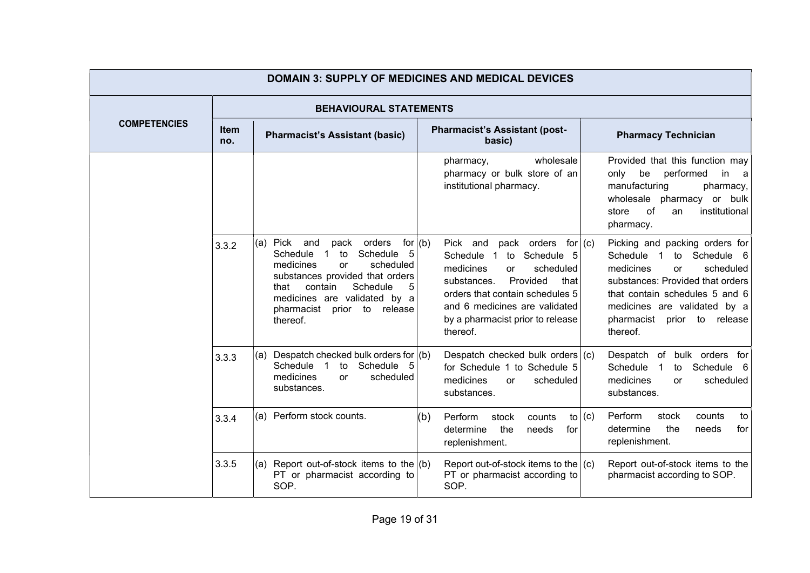|                     | <b>DOMAIN 3: SUPPLY OF MEDICINES AND MEDICAL DEVICES</b> |                                                                                                                                                                                                                                                                                            |                                                                                                                                                                                                                                                                   |                                                                                                                                                                                                                                                                          |  |  |  |  |
|---------------------|----------------------------------------------------------|--------------------------------------------------------------------------------------------------------------------------------------------------------------------------------------------------------------------------------------------------------------------------------------------|-------------------------------------------------------------------------------------------------------------------------------------------------------------------------------------------------------------------------------------------------------------------|--------------------------------------------------------------------------------------------------------------------------------------------------------------------------------------------------------------------------------------------------------------------------|--|--|--|--|
|                     |                                                          |                                                                                                                                                                                                                                                                                            | <b>BEHAVIOURAL STATEMENTS</b>                                                                                                                                                                                                                                     |                                                                                                                                                                                                                                                                          |  |  |  |  |
| <b>COMPETENCIES</b> | <b>Item</b><br>no.                                       | <b>Pharmacist's Assistant (basic)</b>                                                                                                                                                                                                                                                      | <b>Pharmacist's Assistant (post-</b><br>basic)                                                                                                                                                                                                                    | <b>Pharmacy Technician</b>                                                                                                                                                                                                                                               |  |  |  |  |
|                     |                                                          |                                                                                                                                                                                                                                                                                            | wholesale<br>pharmacy,<br>pharmacy or bulk store of an<br>institutional pharmacy.                                                                                                                                                                                 | Provided that this function may<br>performed<br>be<br>only<br>in<br>a<br>manufacturing<br>pharmacy,<br>wholesale<br>pharmacy<br>or bulk<br>0f<br>institutional<br>store<br>an<br>pharmacy.                                                                               |  |  |  |  |
|                     | 3.3.2                                                    | Pick and<br>pack orders<br>for $(b)$<br>(a)<br>Schedule<br>Schedule<br>-5<br>$\overline{1}$<br>to<br>medicines<br>scheduled<br><b>or</b><br>substances provided that orders<br>Schedule<br>contain<br>5<br>that<br>medicines are validated by a<br>pharmacist prior to release<br>thereof. | pack orders<br>for $ (c)$<br>Pick and<br>to Schedule 5<br>Schedule 1<br>medicines<br>scheduled<br>$\alpha$<br>Provided<br>substances.<br>that<br>orders that contain schedules 5<br>and 6 medicines are validated<br>by a pharmacist prior to release<br>thereof. | Picking and packing orders for<br>Schedule<br>to Schedule 6<br>$\overline{1}$<br>medicines<br>scheduled<br><b>or</b><br>substances: Provided that orders<br>that contain schedules 5 and 6<br>medicines are validated by a<br>pharmacist<br>prior to release<br>thereof. |  |  |  |  |
|                     | 3.3.3                                                    | Despatch checked bulk orders for $(6)$<br>(a)<br>Schedule 5<br>Schedule 1 to<br>medicines<br>scheduled<br><b>or</b><br>substances.                                                                                                                                                         | Despatch checked bulk orders $(c)$<br>for Schedule 1 to Schedule 5<br>medicines<br>scheduled<br>or<br>substances.                                                                                                                                                 | Despatch of bulk orders for<br>Schedule<br>Schedule<br>$\overline{1}$<br>to<br>- 6<br>medicines<br>scheduled<br>or<br>substances.                                                                                                                                        |  |  |  |  |
|                     | 3.3.4                                                    | Perform stock counts.<br>(a)                                                                                                                                                                                                                                                               | (b)<br>Perform<br>to $(c)$<br>stock<br>counts<br>the<br>determine<br>needs<br>for<br>replenishment.                                                                                                                                                               | Perform<br>stock<br>counts<br>to<br>determine<br>the<br>needs<br>for<br>replenishment.                                                                                                                                                                                   |  |  |  |  |
|                     | 3.3.5                                                    | Report out-of-stock items to the $ (b)$<br>(a)<br>PT or pharmacist according to<br>SOP.                                                                                                                                                                                                    | Report out-of-stock items to the $ (c)$<br>PT or pharmacist according to<br>SOP.                                                                                                                                                                                  | Report out-of-stock items to the<br>pharmacist according to SOP.                                                                                                                                                                                                         |  |  |  |  |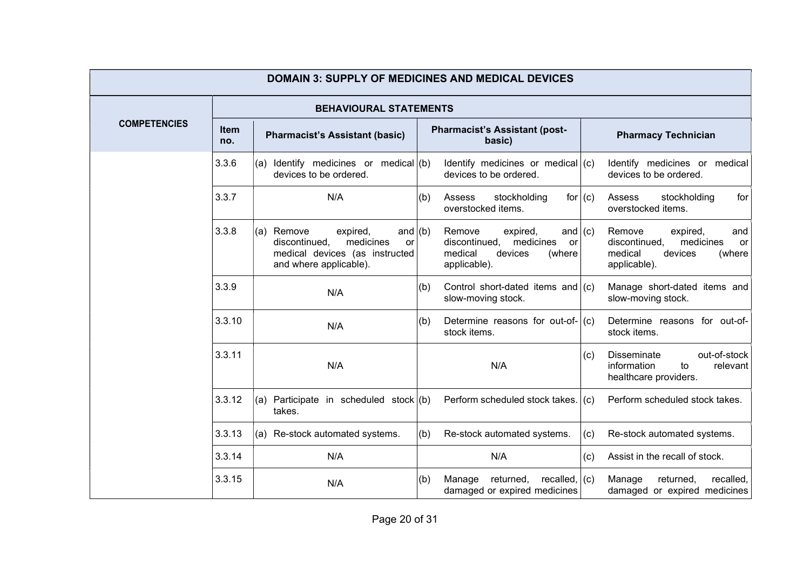| <b>DOMAIN 3: SUPPLY OF MEDICINES AND MEDICAL DEVICES</b> |                    |                                                                                                                                         |                                                                                                                     |                                                                                                               |  |  |
|----------------------------------------------------------|--------------------|-----------------------------------------------------------------------------------------------------------------------------------------|---------------------------------------------------------------------------------------------------------------------|---------------------------------------------------------------------------------------------------------------|--|--|
|                                                          |                    | <b>BEHAVIOURAL STATEMENTS</b>                                                                                                           |                                                                                                                     |                                                                                                               |  |  |
| <b>COMPETENCIES</b>                                      | <b>Item</b><br>no. | <b>Pharmacist's Assistant (basic)</b>                                                                                                   | <b>Pharmacist's Assistant (post-</b><br>basic)                                                                      | <b>Pharmacy Technician</b>                                                                                    |  |  |
|                                                          | 3.3.6              | Identify medicines or medical $(b)$<br>(a)<br>devices to be ordered.                                                                    | Identify medicines or medical $(c)$<br>devices to be ordered.                                                       | Identify medicines or medical<br>devices to be ordered.                                                       |  |  |
|                                                          | 3.3.7              | N/A                                                                                                                                     | stockholding<br>(b)<br>Assess<br>for $(c)$<br>overstocked items.                                                    | stockholding<br>Assess<br>for<br>overstocked items.                                                           |  |  |
|                                                          | 3.3.8              | Remove<br>(a)<br>expired,<br>and $ (b)$<br>discontinued,<br>medicines<br>or<br>medical devices (as instructed<br>and where applicable). | Remove<br>expired,<br>and $(c)$<br>discontinued,<br>medicines<br>or<br>medical<br>devices<br>(where<br>applicable). | Remove<br>expired,<br>and<br>discontinued,<br>medicines<br>or<br>medical<br>devices<br>(where<br>applicable). |  |  |
|                                                          | 3.3.9              | N/A                                                                                                                                     | Control short-dated items and $(c)$<br>(b)<br>slow-moving stock.                                                    | Manage short-dated items and<br>slow-moving stock.                                                            |  |  |
|                                                          | 3.3.10             | N/A                                                                                                                                     | Determine reasons for out-of- $ (c)$<br>(b)<br>stock items.                                                         | Determine reasons for out-of-<br>stock items.                                                                 |  |  |
|                                                          | 3.3.11             | N/A                                                                                                                                     | N/A                                                                                                                 | out-of-stock<br><b>Disseminate</b><br>(c)<br>information<br>relevant<br>to<br>healthcare providers.           |  |  |
|                                                          | 3.3.12             | Participate in scheduled stock $($ b $)$<br>(a)<br>takes.                                                                               | Perform scheduled stock takes.                                                                                      | Perform scheduled stock takes.<br>(c)                                                                         |  |  |
|                                                          | 3.3.13             | Re-stock automated systems.<br>(a)                                                                                                      | (b)<br>Re-stock automated systems.                                                                                  | Re-stock automated systems.<br>(c)                                                                            |  |  |
|                                                          | 3.3.14             | N/A                                                                                                                                     | N/A                                                                                                                 | Assist in the recall of stock.<br>(c)                                                                         |  |  |
|                                                          | 3.3.15             | N/A                                                                                                                                     | returned,<br>recalled,<br>(b)<br>Manage<br>damaged or expired medicines                                             | (c)<br>recalled,<br>Manage<br>returned,<br>damaged or expired medicines                                       |  |  |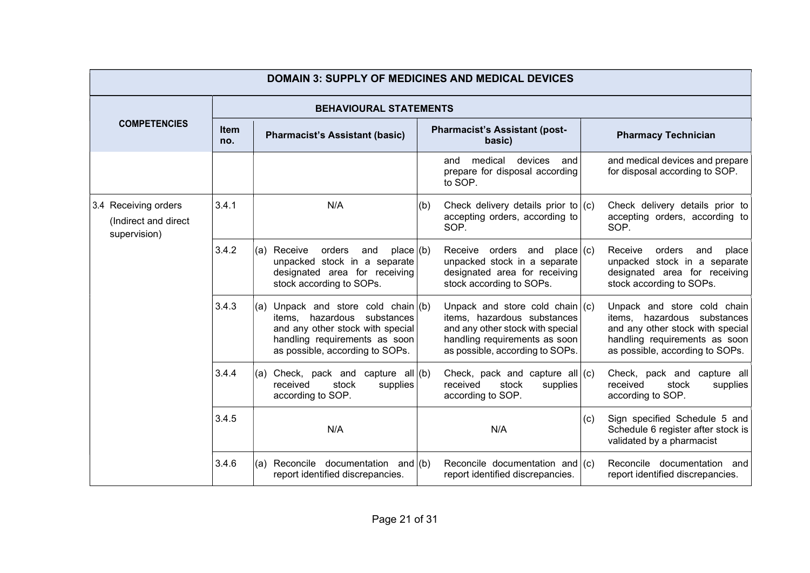| <b>DOMAIN 3: SUPPLY OF MEDICINES AND MEDICAL DEVICES</b>     |             |                                                                                                                                                                                 |                                                                                                                                                                          |                                                                                                                                                                    |  |  |
|--------------------------------------------------------------|-------------|---------------------------------------------------------------------------------------------------------------------------------------------------------------------------------|--------------------------------------------------------------------------------------------------------------------------------------------------------------------------|--------------------------------------------------------------------------------------------------------------------------------------------------------------------|--|--|
|                                                              |             | <b>BEHAVIOURAL STATEMENTS</b>                                                                                                                                                   |                                                                                                                                                                          |                                                                                                                                                                    |  |  |
| <b>COMPETENCIES</b>                                          | ltem<br>no. | <b>Pharmacist's Assistant (basic)</b>                                                                                                                                           | <b>Pharmacist's Assistant (post-</b><br>basic)                                                                                                                           | <b>Pharmacy Technician</b>                                                                                                                                         |  |  |
|                                                              |             |                                                                                                                                                                                 | medical<br>devices<br>and<br>and<br>prepare for disposal according<br>to SOP.                                                                                            | and medical devices and prepare<br>for disposal according to SOP.                                                                                                  |  |  |
| 3.4 Receiving orders<br>(Indirect and direct<br>supervision) | 3.4.1       | N/A                                                                                                                                                                             | Check delivery details prior to $(c)$<br>(b)<br>accepting orders, according to<br>SOP.                                                                                   | Check delivery details prior to<br>accepting orders, according to<br>SOP.                                                                                          |  |  |
|                                                              | 3.4.2       | orders<br>Receive<br>and<br>place (b)<br>(a)<br>unpacked stock in a separate<br>designated area for receiving<br>stock according to SOPs.                                       | Receive orders and<br>place (c)<br>unpacked stock in a separate<br>designated area for receiving<br>stock according to SOPs.                                             | orders<br>Receive<br>and<br>place<br>unpacked stock in a separate<br>designated area for receiving<br>stock according to SOPs.                                     |  |  |
|                                                              | 3.4.3       | Unpack and store cold chain $(6)$<br>(a)<br>items, hazardous substances<br>and any other stock with special<br>handling requirements as soon<br>as possible, according to SOPs. | Unpack and store cold chain $(c)$<br>items, hazardous substances<br>and any other stock with special<br>handling requirements as soon<br>as possible, according to SOPs. | Unpack and store cold chain<br>items, hazardous substances<br>and any other stock with special<br>handling requirements as soon<br>as possible, according to SOPs. |  |  |
|                                                              | 3.4.4       | Check, pack and capture all $(b)$<br>(a)<br>received<br>stock<br>supplies<br>according to SOP.                                                                                  | Check, pack and capture all $(c)$<br>received<br>stock<br>supplies<br>according to SOP.                                                                                  | Check, pack and capture all<br>received<br>stock<br>supplies<br>according to SOP.                                                                                  |  |  |
|                                                              | 3.4.5       | N/A                                                                                                                                                                             | N/A                                                                                                                                                                      | Sign specified Schedule 5 and<br>(c)<br>Schedule 6 register after stock is<br>validated by a pharmacist                                                            |  |  |
|                                                              | 3.4.6       | Reconcile documentation and (b)<br>(a)<br>report identified discrepancies.                                                                                                      | Reconcile documentation and $(c)$<br>report identified discrepancies.                                                                                                    | Reconcile documentation<br>and<br>report identified discrepancies.                                                                                                 |  |  |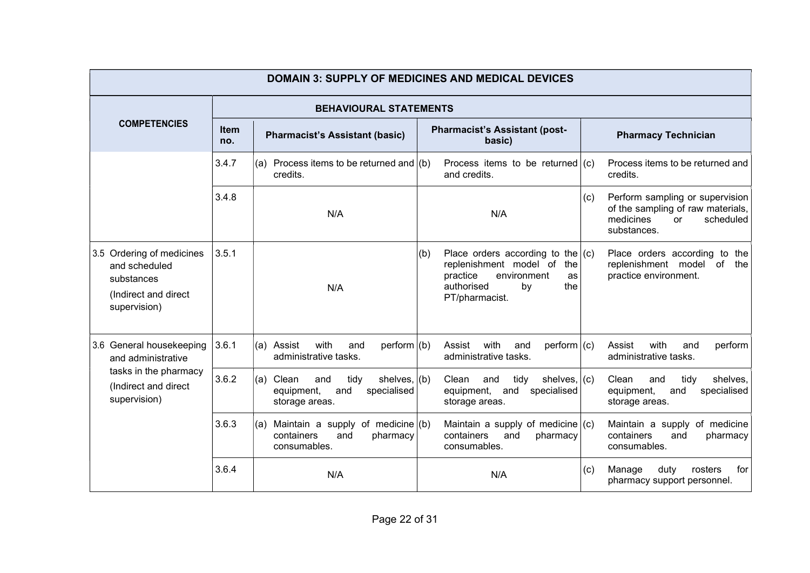|                                                                                                  | <b>DOMAIN 3: SUPPLY OF MEDICINES AND MEDICAL DEVICES</b> |                                                                                                      |                                                                                                                                                           |                                                                                                                            |  |  |  |
|--------------------------------------------------------------------------------------------------|----------------------------------------------------------|------------------------------------------------------------------------------------------------------|-----------------------------------------------------------------------------------------------------------------------------------------------------------|----------------------------------------------------------------------------------------------------------------------------|--|--|--|
|                                                                                                  |                                                          | <b>BEHAVIOURAL STATEMENTS</b>                                                                        |                                                                                                                                                           |                                                                                                                            |  |  |  |
| <b>COMPETENCIES</b>                                                                              | <b>Item</b><br>no.                                       | <b>Pharmacist's Assistant (basic)</b>                                                                | <b>Pharmacist's Assistant (post-</b><br>basic)                                                                                                            | <b>Pharmacy Technician</b>                                                                                                 |  |  |  |
|                                                                                                  | 3.4.7                                                    | Process items to be returned and $(6)$<br>(a)<br>credits.                                            | Process items to be returned $(c)$<br>and credits.                                                                                                        | Process items to be returned and<br>credits.                                                                               |  |  |  |
|                                                                                                  | 3.4.8                                                    | N/A                                                                                                  | N/A                                                                                                                                                       | Perform sampling or supervision<br>(c)<br>of the sampling of raw materials,<br>medicines<br>scheduled<br>or<br>substances. |  |  |  |
| 3.5 Ordering of medicines<br>and scheduled<br>substances<br>(Indirect and direct<br>supervision) | 3.5.1                                                    | N/A                                                                                                  | (b)<br>Place orders according to the $(c)$<br>replenishment model of<br>the<br>practice<br>environment<br>as<br>authorised<br>the<br>bv<br>PT/pharmacist. | Place orders according to the<br>replenishment model of<br>the<br>practice environment.                                    |  |  |  |
| 3.6 General housekeeping<br>and administrative                                                   | 3.6.1                                                    | with<br>(a) Assist<br>perform $ (b)$<br>and<br>administrative tasks.                                 | with<br>Assist<br>perform   (c)<br>and<br>administrative tasks.                                                                                           | with<br>perform<br>Assist<br>and<br>administrative tasks.                                                                  |  |  |  |
| tasks in the pharmacy<br>(Indirect and direct<br>supervision)                                    | 3.6.2                                                    | Clean<br>tidy<br>shelves, $ (b)$<br>(a)<br>and<br>equipment,<br>specialised<br>and<br>storage areas. | Clean<br>tidy<br>shelves, $(c)$<br>and<br>and<br>equipment,<br>specialised<br>storage areas.                                                              | Clean<br>shelves,<br>and<br>tidy<br>specialised<br>equipment,<br>and<br>storage areas.                                     |  |  |  |
|                                                                                                  | 3.6.3                                                    | Maintain a supply of medicine $($ b $)$<br>(a)<br>containers<br>and<br>pharmacy<br>consumables.      | Maintain a supply of medicine $(c)$<br>containers<br>and<br>pharmacy<br>consumables.                                                                      | Maintain a supply of medicine<br>containers<br>and<br>pharmacy<br>consumables.                                             |  |  |  |
|                                                                                                  | 3.6.4                                                    | N/A                                                                                                  | N/A                                                                                                                                                       | duty<br>for<br>Manage<br>rosters<br>(c)<br>pharmacy support personnel.                                                     |  |  |  |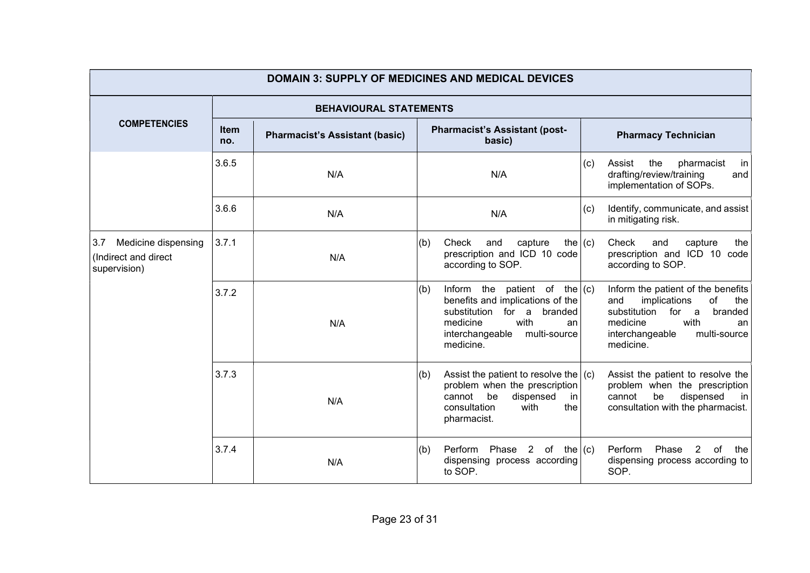|                                                                    | <b>DOMAIN 3: SUPPLY OF MEDICINES AND MEDICAL DEVICES</b> |                                       |                                                                                                                                                                                       |                                                                                                                                                                                      |  |  |  |
|--------------------------------------------------------------------|----------------------------------------------------------|---------------------------------------|---------------------------------------------------------------------------------------------------------------------------------------------------------------------------------------|--------------------------------------------------------------------------------------------------------------------------------------------------------------------------------------|--|--|--|
|                                                                    |                                                          | <b>BEHAVIOURAL STATEMENTS</b>         |                                                                                                                                                                                       |                                                                                                                                                                                      |  |  |  |
| <b>COMPETENCIES</b>                                                | <b>Item</b><br>no.                                       | <b>Pharmacist's Assistant (basic)</b> | <b>Pharmacist's Assistant (post-</b><br>basic)                                                                                                                                        | <b>Pharmacy Technician</b>                                                                                                                                                           |  |  |  |
|                                                                    | 3.6.5                                                    | N/A                                   | N/A                                                                                                                                                                                   | the<br>pharmacist<br>(c)<br>Assist<br>in<br>drafting/review/training<br>and<br>implementation of SOPs.                                                                               |  |  |  |
|                                                                    | 3.6.6                                                    | N/A                                   | N/A                                                                                                                                                                                   | Identify, communicate, and assist<br>(c)<br>in mitigating risk.                                                                                                                      |  |  |  |
| Medicine dispensing<br>3.7<br>(Indirect and direct<br>supervision) | 3.7.1                                                    | N/A                                   | Check<br>the $ (c)$<br>(b)<br>and<br>capture<br>prescription and ICD 10 code<br>according to SOP.                                                                                     | Check<br>the<br>and<br>capture<br>prescription and ICD 10 code<br>according to SOP.                                                                                                  |  |  |  |
|                                                                    | 3.7.2                                                    | N/A                                   | Inform the patient of the $(c)$<br>(b)<br>benefits and implications of the<br>substitution for a<br>branded<br>with<br>medicine<br>an<br>interchangeable<br>multi-source<br>medicine. | Inform the patient of the benefits<br>implications<br>of<br>and<br>the<br>substitution<br>for a<br>branded<br>with<br>medicine<br>an<br>interchangeable<br>multi-source<br>medicine. |  |  |  |
|                                                                    | 3.7.3                                                    | N/A                                   | (b)<br>Assist the patient to resolve the $(c)$<br>problem when the prescription<br>cannot<br>be<br>dispensed<br>in<br>with<br>consultation<br>the<br>pharmacist.                      | Assist the patient to resolve the<br>problem when the prescription<br>cannot<br>be<br>dispensed<br>in  <br>consultation with the pharmacist.                                         |  |  |  |
|                                                                    | 3.7.4                                                    | N/A                                   | Perform<br>Phase 2 of the $(c)$<br>(b)<br>dispensing process according<br>to SOP.                                                                                                     | Perform<br>Phase<br>$2^{\circ}$<br>0f<br>the<br>dispensing process according to<br>SOP.                                                                                              |  |  |  |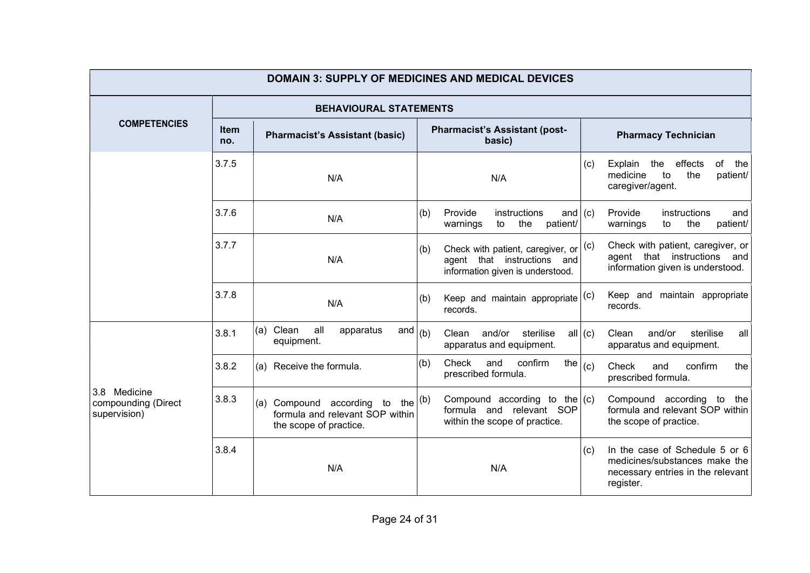| <b>Item</b><br>no. | <b>Pharmacist's Assistant (basic)</b>                  | <b>Pharmacist's Assistant (post-</b><br>basic)                         | <b>Pharmacy Technician</b>                                                                                                                             |                                                                                                                                                                                                                    |  |
|--------------------|--------------------------------------------------------|------------------------------------------------------------------------|--------------------------------------------------------------------------------------------------------------------------------------------------------|--------------------------------------------------------------------------------------------------------------------------------------------------------------------------------------------------------------------|--|
| 3.7.5              | N/A                                                    | N/A                                                                    | (c)                                                                                                                                                    | effects<br>of<br>Explain<br>the<br>the<br>medicine<br>the<br>to<br>patient/<br>caregiver/agent.                                                                                                                    |  |
| 3.7.6              | N/A                                                    | instructions<br>Provide<br>(b)<br>the<br>warnings<br>to                |                                                                                                                                                        | Provide<br>instructions<br>and<br>to<br>the<br>patient/<br>warnings                                                                                                                                                |  |
| 3.7.7<br>N/A       |                                                        | (b)<br>agent that instructions and<br>information given is understood. |                                                                                                                                                        | Check with patient, caregiver, or<br>agent that instructions and<br>information given is understood.                                                                                                               |  |
| 3.7.8              | N/A                                                    | (b)<br>records.                                                        |                                                                                                                                                        | Keep and maintain appropriate<br>records.                                                                                                                                                                          |  |
| 3.8.1              | (a) Clean<br>all<br>apparatus<br>and<br>equipment.     | Clean and/or sterilise<br>apparatus and equipment.                     |                                                                                                                                                        | and/or<br>Clean<br>sterilise<br>all<br>apparatus and equipment.                                                                                                                                                    |  |
| 3.8.2              | (a) Receive the formula.                               | confirm<br>Check<br>and<br>(b)<br>prescribed formula.                  |                                                                                                                                                        | Check<br>confirm<br>and<br>the<br>prescribed formula.                                                                                                                                                              |  |
| 3.8.3              | Compound according to<br>(a)<br>the scope of practice. | within the scope of practice.                                          |                                                                                                                                                        | Compound according to the<br>formula and relevant SOP within<br>the scope of practice.                                                                                                                             |  |
| 3.8.4              | N/A                                                    | N/A                                                                    | (c)                                                                                                                                                    | In the case of Schedule 5 or 6<br>medicines/substances make the<br>necessary entries in the relevant<br>register.                                                                                                  |  |
|                    |                                                        |                                                                        | <b>DOMAIN 3: SUPPLY OF MEDICINES AND MEDICAL DEVICES</b><br><b>BEHAVIOURAL STATEMENTS</b><br>(b)<br>the $\vert$ (b)<br>formula and relevant SOP within | and $(c)$<br>patient/<br>Check with patient, caregiver, or $ ^{(c)} $<br>Keep and maintain appropriate $ ^{(c)} $<br>all $(c)$<br>the $ _{\rm (c)}$<br>Compound according to the $(c)$<br>formula and relevant SOP |  |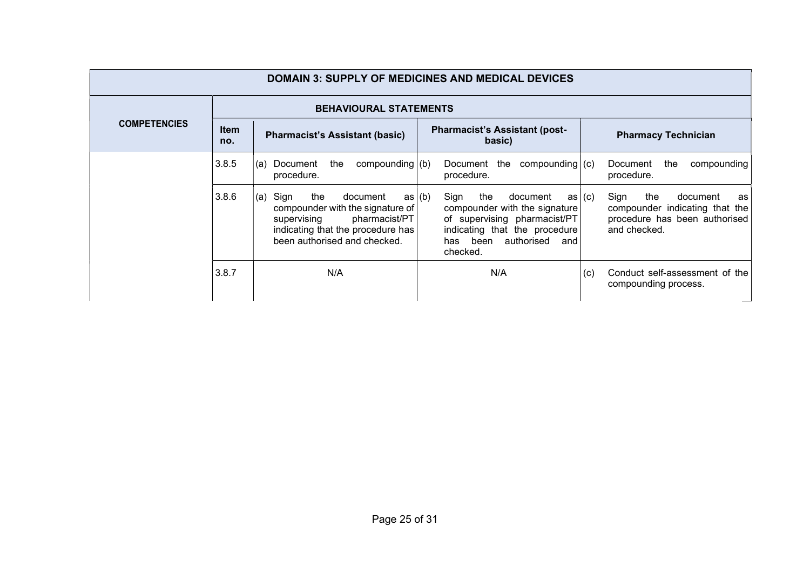| <b>DOMAIN 3: SUPPLY OF MEDICINES AND MEDICAL DEVICES</b> |                    |                                                                                                                                                                         |                                                                                                                                                                                  |                                                                                                                            |  |  |
|----------------------------------------------------------|--------------------|-------------------------------------------------------------------------------------------------------------------------------------------------------------------------|----------------------------------------------------------------------------------------------------------------------------------------------------------------------------------|----------------------------------------------------------------------------------------------------------------------------|--|--|
| <b>BEHAVIOURAL STATEMENTS</b>                            |                    |                                                                                                                                                                         |                                                                                                                                                                                  |                                                                                                                            |  |  |
| <b>COMPETENCIES</b>                                      | <b>Item</b><br>no. | <b>Pharmacist's Assistant (basic)</b>                                                                                                                                   | <b>Pharmacist's Assistant (post-</b><br>basic)                                                                                                                                   | <b>Pharmacy Technician</b>                                                                                                 |  |  |
|                                                          | 3.8.5              | the<br>compounding $(b)$<br>Document<br>(a)<br>procedure.                                                                                                               | Document the<br>compounding $(c)$<br>procedure.                                                                                                                                  | Document<br>the<br>compounding<br>procedure.                                                                               |  |  |
|                                                          | 3.8.6              | Sign<br>(a)<br>the<br>document<br>compounder with the signature of<br>pharmacist/PT<br>supervising<br>indicating that the procedure has<br>been authorised and checked. | as (b)<br>Sign<br>the<br>document<br>compounder with the signature<br>of supervising pharmacist/PT<br>indicating that the procedure<br>authorised<br>has been<br>and<br>checked. | Sign<br>as (c)<br>the<br>document<br>as<br>compounder indicating that the<br>procedure has been authorised<br>and checked. |  |  |
|                                                          | 3.8.7              | N/A                                                                                                                                                                     | N/A                                                                                                                                                                              | Conduct self-assessment of the<br>(c)<br>compounding process.                                                              |  |  |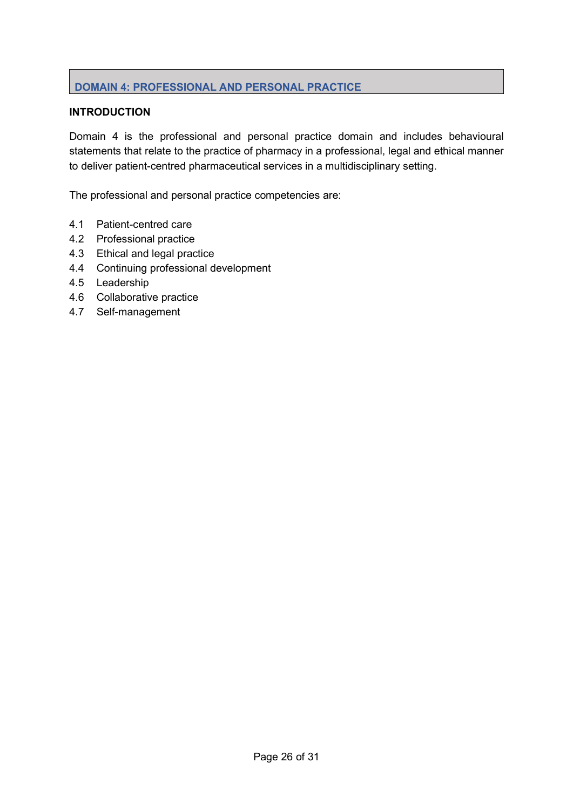# DOMAIN 4: PROFESSIONAL AND PERSONAL PRACTICE

# **INTRODUCTION**

Domain 4 is the professional and personal practice domain and includes behavioural statements that relate to the practice of pharmacy in a professional, legal and ethical manner to deliver patient-centred pharmaceutical services in a multidisciplinary setting.

The professional and personal practice competencies are:

- 4.1 Patient-centred care
- 4.2 Professional practice
- 4.3 Ethical and legal practice
- 4.4 Continuing professional development
- 4.5 Leadership
- 4.6 Collaborative practice
- 4.7 Self-management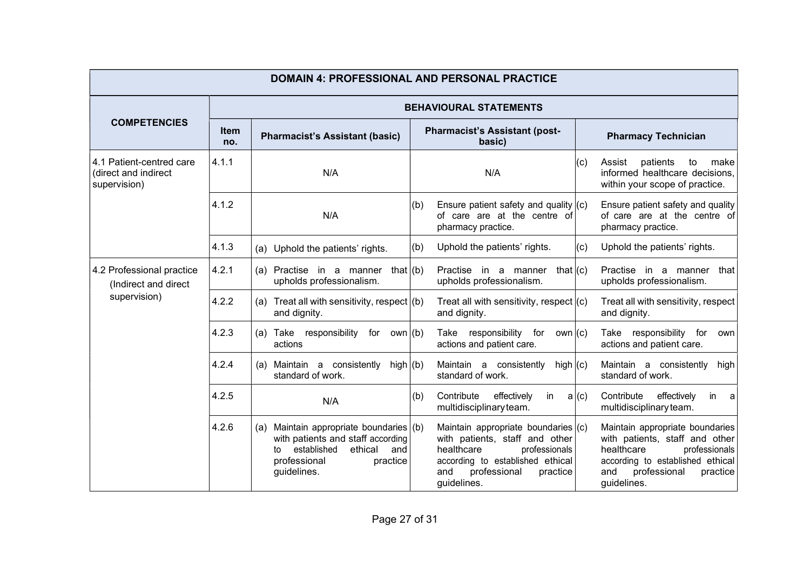| <b>DOMAIN 4: PROFESSIONAL AND PERSONAL PRACTICE</b>               |                               |                                                                                                                                                                |     |                                                                                                                                                                                            |       |                                                                                                                                                                                        |  |  |
|-------------------------------------------------------------------|-------------------------------|----------------------------------------------------------------------------------------------------------------------------------------------------------------|-----|--------------------------------------------------------------------------------------------------------------------------------------------------------------------------------------------|-------|----------------------------------------------------------------------------------------------------------------------------------------------------------------------------------------|--|--|
|                                                                   | <b>BEHAVIOURAL STATEMENTS</b> |                                                                                                                                                                |     |                                                                                                                                                                                            |       |                                                                                                                                                                                        |  |  |
| <b>COMPETENCIES</b>                                               | <b>Item</b><br>no.            | <b>Pharmacist's Assistant (basic)</b>                                                                                                                          |     | <b>Pharmacist's Assistant (post-</b><br>basic)                                                                                                                                             |       | <b>Pharmacy Technician</b>                                                                                                                                                             |  |  |
| 4.1 Patient-centred care<br>(direct and indirect<br>supervision)  | 4.1.1                         | N/A                                                                                                                                                            | N/A |                                                                                                                                                                                            | (c)   | patients<br>make<br>Assist<br>to<br>informed healthcare decisions.<br>within your scope of practice.                                                                                   |  |  |
|                                                                   | 4.1.2                         | N/A                                                                                                                                                            | (b) | Ensure patient safety and quality $ $ (c)<br>of care are at the centre of<br>pharmacy practice.                                                                                            |       | Ensure patient safety and quality<br>of care are at the centre of<br>pharmacy practice.                                                                                                |  |  |
|                                                                   | 4.1.3                         | (a) Uphold the patients' rights.                                                                                                                               | (b) | Uphold the patients' rights.                                                                                                                                                               | (c)   | Uphold the patients' rights.                                                                                                                                                           |  |  |
| 4.2 Professional practice<br>(Indirect and direct<br>supervision) | 4.2.1                         | (a) Practise in a manner that $ (b)$<br>upholds professionalism.                                                                                               |     | that $ c\rangle$<br>Practise in a manner<br>upholds professionalism.                                                                                                                       |       | Practise in a manner<br>that<br>upholds professionalism.                                                                                                                               |  |  |
|                                                                   | 4.2.2                         | Treat all with sensitivity, respect $(6)$<br>and dignity.                                                                                                      |     | Treat all with sensitivity, respect $(c)$<br>and dignity.                                                                                                                                  |       | Treat all with sensitivity, respect<br>and dignity.                                                                                                                                    |  |  |
|                                                                   | 4.2.3                         | Take responsibility for own $($ b $)$<br>(a)<br>actions                                                                                                        |     | responsibility for<br>own $ (c)$<br>Take<br>actions and patient care.                                                                                                                      |       | Take responsibility for own<br>actions and patient care.                                                                                                                               |  |  |
|                                                                   | 4.2.4                         | (a) Maintain a consistently<br>high $ (b)$<br>standard of work.                                                                                                |     | Maintain a consistently<br>high $ (c)$<br>standard of work.                                                                                                                                |       | Maintain a consistently high<br>standard of work.                                                                                                                                      |  |  |
|                                                                   | 4.2.5                         | N/A                                                                                                                                                            | (b) | Contribute<br>effectively<br>in<br>multidisciplinary team.                                                                                                                                 | a (c) | Contribute<br>effectively<br>in<br>a<br>multidisciplinary team.                                                                                                                        |  |  |
|                                                                   | 4.2.6                         | Maintain appropriate boundaries (b)<br>(a)<br>with patients and staff according<br>ethical and<br>established<br>to<br>professional<br>practice<br>guidelines. |     | Maintain appropriate boundaries (c)<br>with patients, staff and other<br>healthcare<br>professionals<br>according to established ethical<br>professional<br>and<br>practice<br>guidelines. |       | Maintain appropriate boundaries<br>with patients, staff and other<br>healthcare<br>professionals<br>according to established ethical<br>professional<br>and<br>practice<br>guidelines. |  |  |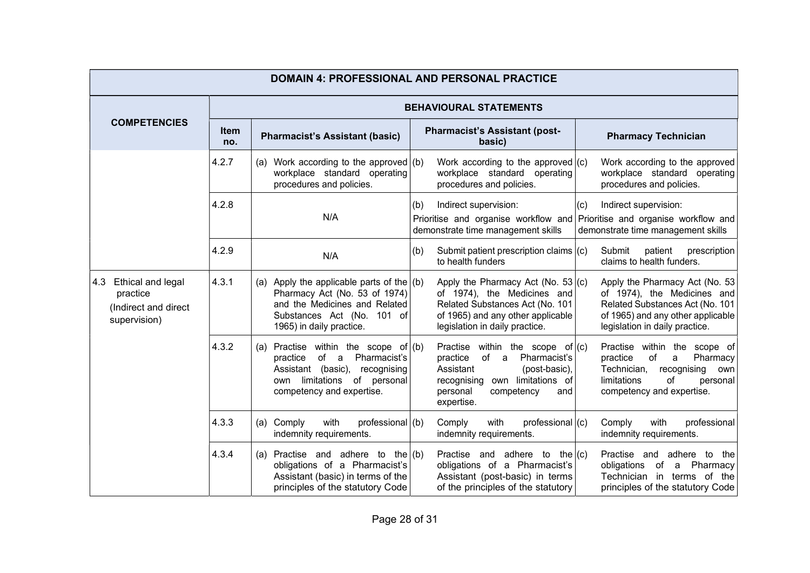| <b>DOMAIN 4: PROFESSIONAL AND PERSONAL PRACTICE</b>                          |                    |                                                                                                                                                                              |     |                                                                                                                                                                                        |     |                                                                                                                                                                         |  |  |
|------------------------------------------------------------------------------|--------------------|------------------------------------------------------------------------------------------------------------------------------------------------------------------------------|-----|----------------------------------------------------------------------------------------------------------------------------------------------------------------------------------------|-----|-------------------------------------------------------------------------------------------------------------------------------------------------------------------------|--|--|
|                                                                              |                    | <b>BEHAVIOURAL STATEMENTS</b>                                                                                                                                                |     |                                                                                                                                                                                        |     |                                                                                                                                                                         |  |  |
| <b>COMPETENCIES</b>                                                          | <b>Item</b><br>no. | <b>Pharmacist's Assistant (basic)</b>                                                                                                                                        |     | <b>Pharmacist's Assistant (post-</b><br>basic)                                                                                                                                         |     | <b>Pharmacy Technician</b>                                                                                                                                              |  |  |
|                                                                              | 4.2.7              | (a) Work according to the approved $($ (b)<br>workplace standard operating<br>procedures and policies.                                                                       |     | Work according to the approved $ (c)$<br>workplace standard operating<br>procedures and policies.                                                                                      |     | Work according to the approved<br>workplace standard operating<br>procedures and policies.                                                                              |  |  |
|                                                                              | 4.2.8              | N/A                                                                                                                                                                          | (b) | Indirect supervision:<br>demonstrate time management skills                                                                                                                            | (c) | Indirect supervision:<br>Prioritise and organise workflow and Prioritise and organise workflow and<br>demonstrate time management skills                                |  |  |
|                                                                              | 4.2.9              | N/A                                                                                                                                                                          | (b) | Submit patient prescription claims $(c)$<br>to health funders                                                                                                                          |     | Submit<br>patient prescription<br>claims to health funders.                                                                                                             |  |  |
| $ 4.3$ Ethical and legal<br>practice<br>(Indirect and direct<br>supervision) | 4.3.1              | (a) Apply the applicable parts of the $ (b)$<br>Pharmacy Act (No. 53 of 1974)<br>and the Medicines and Related<br>Substances Act (No. 101 of<br>1965) in daily practice.     |     | Apply the Pharmacy Act (No. 53 $ (c)$ )<br>of 1974), the Medicines and<br>Related Substances Act (No. 101<br>of 1965) and any other applicable<br>legislation in daily practice.       |     | Apply the Pharmacy Act (No. 53<br>of 1974), the Medicines and<br>Related Substances Act (No. 101<br>of 1965) and any other applicable<br>legislation in daily practice. |  |  |
|                                                                              | 4.3.2              | (a) Practise within the scope of $ (b)$<br>Pharmacist's<br>of a<br>practice<br>Assistant (basic), recognising<br>limitations of personal<br>own<br>competency and expertise. |     | Practise within the scope of $ (c)$<br>Pharmacist's<br>practice<br>of a<br>Assistant<br>(post-basic),<br>recognising own limitations of<br>personal<br>competency<br>and<br>expertise. |     | Practise within the scope of<br>Pharmacy<br>practice<br>of<br>a<br>Technician, recognising own<br>limitations<br>of<br>personal<br>competency and expertise.            |  |  |
|                                                                              | 4.3.3              | with<br>professional $(b)$<br>(a) Comply<br>indemnity requirements.                                                                                                          |     | with<br>Comply<br>professional $ (c)$<br>indemnity requirements.                                                                                                                       |     | with<br>professional<br>Comply<br>indemnity requirements.                                                                                                               |  |  |
|                                                                              | 4.3.4              | (a) Practise and adhere to the $(b)$<br>obligations of a Pharmacist's<br>Assistant (basic) in terms of the<br>principles of the statutory Code                               |     | Practise and adhere to the $ (c)$<br>obligations of a Pharmacist's<br>Assistant (post-basic) in terms<br>of the principles of the statutory                                            |     | Practise and adhere to the<br>obligations of a Pharmacy<br>Technician in terms of the<br>principles of the statutory Code                                               |  |  |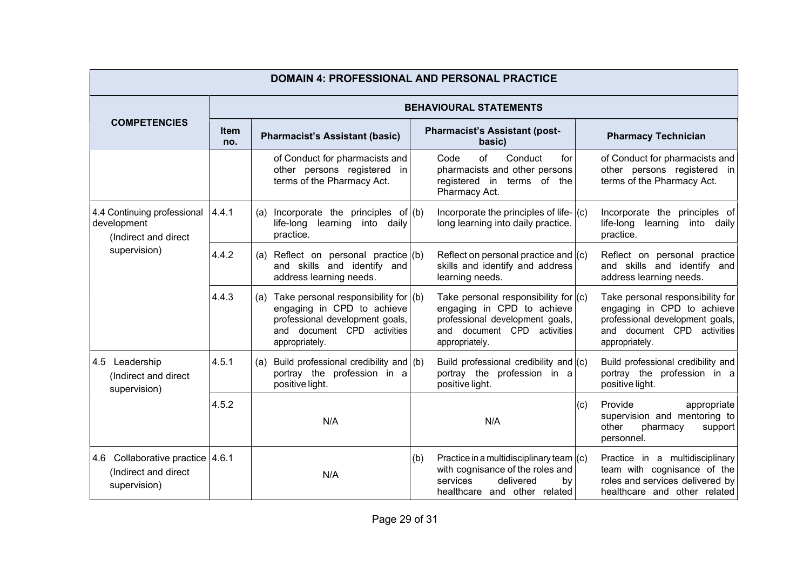| <b>DOMAIN 4: PROFESSIONAL AND PERSONAL PRACTICE</b>                      |                                                             |                                                                                                                                                                     |                                                                                                                                                                |                                                                                                                                                    |  |  |  |  |
|--------------------------------------------------------------------------|-------------------------------------------------------------|---------------------------------------------------------------------------------------------------------------------------------------------------------------------|----------------------------------------------------------------------------------------------------------------------------------------------------------------|----------------------------------------------------------------------------------------------------------------------------------------------------|--|--|--|--|
|                                                                          | <b>BEHAVIOURAL STATEMENTS</b>                               |                                                                                                                                                                     |                                                                                                                                                                |                                                                                                                                                    |  |  |  |  |
| <b>COMPETENCIES</b>                                                      | <b>Item</b><br><b>Pharmacist's Assistant (basic)</b><br>no. |                                                                                                                                                                     | <b>Pharmacist's Assistant (post-</b><br>basic)                                                                                                                 | <b>Pharmacy Technician</b>                                                                                                                         |  |  |  |  |
|                                                                          |                                                             | of Conduct for pharmacists and<br>other persons registered in<br>terms of the Pharmacy Act.                                                                         | Code<br>of<br>Conduct<br>for<br>pharmacists and other persons<br>registered in terms of the<br>Pharmacy Act.                                                   | of Conduct for pharmacists and<br>other persons registered in<br>terms of the Pharmacy Act.                                                        |  |  |  |  |
| 4.4 Continuing professional<br>development<br>(Indirect and direct       | 4.4.1                                                       | Incorporate the principles of $(b)$<br>(a)<br>life-long learning into daily<br>practice.                                                                            | Incorporate the principles of life- $ (c)$<br>long learning into daily practice.                                                                               | Incorporate the principles of<br>life-long learning into daily<br>practice.                                                                        |  |  |  |  |
| supervision)                                                             | 4.4.2                                                       | (a) Reflect on personal practice $(6)$<br>and skills and identify and<br>address learning needs.                                                                    | Reflect on personal practice and $ $ (c)<br>skills and identify and address<br>learning needs.                                                                 | Reflect on personal practice<br>and skills and identify and<br>address learning needs.                                                             |  |  |  |  |
|                                                                          | 4.4.3                                                       | Take personal responsibility for $($ b $)$<br>(a)<br>engaging in CPD to achieve<br>professional development goals,<br>and document CPD activities<br>appropriately. | Take personal responsibility for $ c\rangle$<br>engaging in CPD to achieve<br>professional development goals,<br>and document CPD activities<br>appropriately. | Take personal responsibility for<br>engaging in CPD to achieve<br>professional development goals,<br>and document CPD activities<br>appropriately. |  |  |  |  |
| 4.5 Leadership<br>(Indirect and direct<br>supervision)                   | 4.5.1                                                       | Build professional credibility and $(b)$<br>(a)<br>portray the profession in a<br>positive light.                                                                   | Build professional credibility and $(c)$<br>portray the profession in a<br>positive light.                                                                     | Build professional credibility and<br>portray the profession in a<br>positive light.                                                               |  |  |  |  |
|                                                                          | 4.5.2                                                       | N/A                                                                                                                                                                 | N/A                                                                                                                                                            | Provide<br>(c)<br>appropriate<br>supervision and mentoring to<br>other<br>pharmacy<br>support<br>personnel.                                        |  |  |  |  |
| 4.6 Collaborative practice 4.6.1<br>(Indirect and direct<br>supervision) |                                                             | N/A                                                                                                                                                                 | Practice in a multidisciplinary team $(c)$<br>(b)<br>with cognisance of the roles and<br>services<br>delivered<br>by<br>healthcare and other related           | Practice in a multidisciplinary<br>team with cognisance of the<br>roles and services delivered by<br>healthcare and other related                  |  |  |  |  |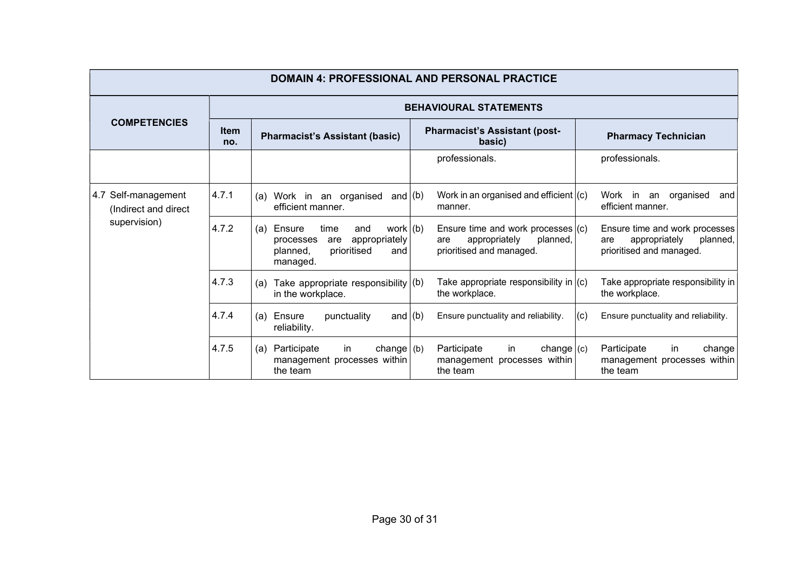| <b>DOMAIN 4: PROFESSIONAL AND PERSONAL PRACTICE</b> |                               |                                                                                                                               |                                                                                                      |                                                                                                |  |  |  |
|-----------------------------------------------------|-------------------------------|-------------------------------------------------------------------------------------------------------------------------------|------------------------------------------------------------------------------------------------------|------------------------------------------------------------------------------------------------|--|--|--|
|                                                     | <b>BEHAVIOURAL STATEMENTS</b> |                                                                                                                               |                                                                                                      |                                                                                                |  |  |  |
| <b>COMPETENCIES</b>                                 | <b>Item</b><br>no.            | <b>Pharmacist's Assistant (basic)</b>                                                                                         | <b>Pharmacist's Assistant (post-</b><br>basic)                                                       | <b>Pharmacy Technician</b>                                                                     |  |  |  |
|                                                     |                               |                                                                                                                               | professionals.                                                                                       | professionals.                                                                                 |  |  |  |
| 4.7 Self-management<br>(Indirect and direct         | 4.7.1                         | Work in an organised<br>and $ (b) $<br>(a)<br>efficient manner.                                                               | Work in an organised and efficient $(c)$<br>manner.                                                  | Work in<br>an organised<br>and<br>efficient manner.                                            |  |  |  |
| supervision)                                        | 4.7.2                         | work $(b)$<br>Ensure<br>(a)<br>time<br>and<br>appropriately<br>processes<br>are<br>prioritised<br>planned,<br>and<br>managed. | Ensure time and work processes $(c)$<br>appropriately<br>planned,<br>are<br>prioritised and managed. | Ensure time and work processes<br>appropriately<br>planned,<br>are<br>prioritised and managed. |  |  |  |
|                                                     | 4.7.3                         | Take appropriate responsibility $(6)$<br>(a)<br>in the workplace.                                                             | Take appropriate responsibility in $(c)$<br>the workplace.                                           | Take appropriate responsibility in<br>the workplace.                                           |  |  |  |
|                                                     | 4.7.4                         | and $(b)$<br>Ensure<br>punctuality<br>(a)<br>reliability.                                                                     | Ensure punctuality and reliability.                                                                  | (c)<br>Ensure punctuality and reliability.                                                     |  |  |  |
|                                                     | 4.7.5                         | Participate<br>change $ $ (b)<br>(a)<br>in.<br>management processes within<br>the team                                        | Participate<br>change $(c)$<br>in.<br>management processes within<br>the team                        | Participate<br>change<br>in.<br>management processes within<br>the team                        |  |  |  |